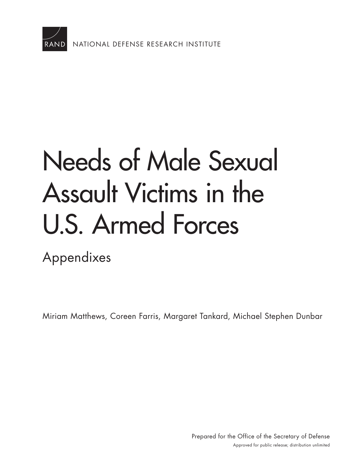

# [Needs of Male Sexual](https://www.rand.org/pubs/research_reports/RR2167.html)  Assault Victims in the U.S. Armed Forces

Appendixes

Miriam Matthews, Coreen Farris, Margaret Tankard, Michael Stephen Dunbar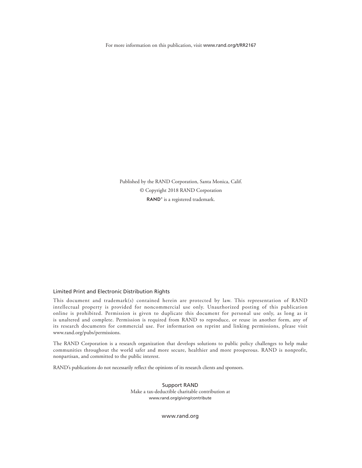For more information on this publication, visit [www.rand.org/t/RR2167](http://www.rand.org/t/RR2167)

Published by the RAND Corporation, Santa Monica, Calif. © Copyright 2018 RAND Corporation RAND<sup>®</sup> is a registered trademark.

#### Limited Print and Electronic Distribution Rights

This document and trademark(s) contained herein are protected by law. This representation of RAND intellectual property is provided for noncommercial use only. Unauthorized posting of this publication online is prohibited. Permission is given to duplicate this document for personal use only, as long as it is unaltered and complete. Permission is required from RAND to reproduce, or reuse in another form, any of its research documents for commercial use. For information on reprint and linking permissions, please visit [www.rand.org/pubs/permissions.](http://www.rand.org/pubs/permissions)

The RAND Corporation is a research organization that develops solutions to public policy challenges to help make communities throughout the world safer and more secure, healthier and more prosperous. RAND is nonprofit, nonpartisan, and committed to the public interest.

RAND's publications do not necessarily reflect the opinions of its research clients and sponsors.

Support RAND Make a tax-deductible charitable contribution at [www.rand.org/giving/contribute](http://www.rand.org/giving/contribute)

[www.rand.org](http://www.rand.org)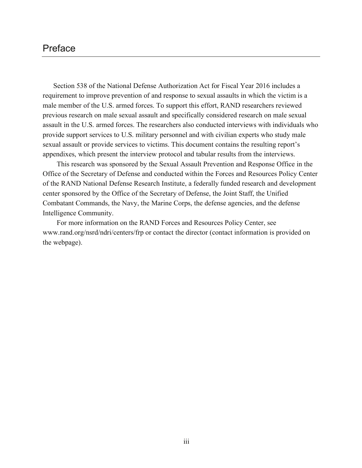## Preface

Section 538 of the National Defense Authorization Act for Fiscal Year 2016 includes a requirement to improve prevention of and response to sexual assaults in which the victim is a male member of the U.S. armed forces. To support this effort, RAND researchers reviewed previous research on male sexual assault and specifically considered research on male sexual assault in the U.S. armed forces. The researchers also conducted interviews with individuals who provide support services to U.S. military personnel and with civilian experts who study male sexual assault or provide services to victims. This document contains the resulting report's appendixes, which present the interview protocol and tabular results from the interviews.

This research was sponsored by the Sexual Assault Prevention and Response Office in the Office of the Secretary of Defense and conducted within the Forces and Resources Policy Center of the RAND National Defense Research Institute, a federally funded research and development center sponsored by the Office of the Secretary of Defense, the Joint Staff, the Unified Combatant Commands, the Navy, the Marine Corps, the defense agencies, and the defense Intelligence Community.

For more information on the RAND Forces and Resources Policy Center, see [www.rand.org/nsrd/ndri/centers/frp](http://www.rand.org/nsrd/ndri/centers/frp) or contact the director (contact information is provided on the webpage).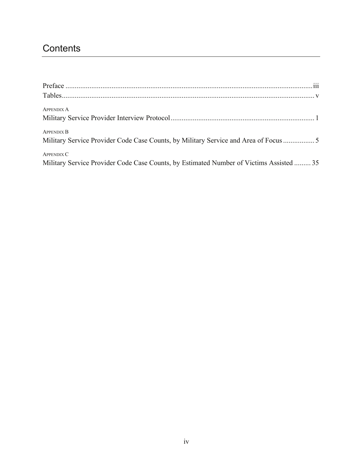# **Contents**

| <b>APPENDIX A</b>                                                                       |  |
|-----------------------------------------------------------------------------------------|--|
|                                                                                         |  |
| <b>APPENDIX B</b>                                                                       |  |
| Military Service Provider Code Case Counts, by Military Service and Area of Focus       |  |
| <b>APPENDIX C</b>                                                                       |  |
| Military Service Provider Code Case Counts, by Estimated Number of Victims Assisted  35 |  |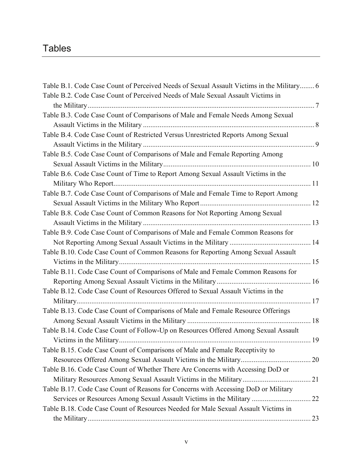## **Tables**

| Table B.1. Code Case Count of Perceived Needs of Sexual Assault Victims in the Military 6 |  |
|-------------------------------------------------------------------------------------------|--|
| Table B.2. Code Case Count of Perceived Needs of Male Sexual Assault Victims in           |  |
|                                                                                           |  |
| Table B.3. Code Case Count of Comparisons of Male and Female Needs Among Sexual           |  |
|                                                                                           |  |
| Table B.4. Code Case Count of Restricted Versus Unrestricted Reports Among Sexual         |  |
|                                                                                           |  |
| Table B.5. Code Case Count of Comparisons of Male and Female Reporting Among              |  |
|                                                                                           |  |
| Table B.6. Code Case Count of Time to Report Among Sexual Assault Victims in the          |  |
|                                                                                           |  |
| Table B.7. Code Case Count of Comparisons of Male and Female Time to Report Among         |  |
|                                                                                           |  |
| Table B.8. Code Case Count of Common Reasons for Not Reporting Among Sexual               |  |
|                                                                                           |  |
| Table B.9. Code Case Count of Comparisons of Male and Female Common Reasons for           |  |
|                                                                                           |  |
| Table B.10. Code Case Count of Common Reasons for Reporting Among Sexual Assault          |  |
|                                                                                           |  |
| Table B.11. Code Case Count of Comparisons of Male and Female Common Reasons for          |  |
|                                                                                           |  |
| Table B.12. Code Case Count of Resources Offered to Sexual Assault Victims in the         |  |
|                                                                                           |  |
| Table B.13. Code Case Count of Comparisons of Male and Female Resource Offerings          |  |
|                                                                                           |  |
| Table B.14. Code Case Count of Follow-Up on Resources Offered Among Sexual Assault        |  |
|                                                                                           |  |
| Table B.15. Code Case Count of Comparisons of Male and Female Receptivity to              |  |
|                                                                                           |  |
| Table B.16. Code Case Count of Whether There Are Concerns with Accessing DoD or           |  |
|                                                                                           |  |
| Table B.17. Code Case Count of Reasons for Concerns with Accessing DoD or Military        |  |
|                                                                                           |  |
| Table B.18. Code Case Count of Resources Needed for Male Sexual Assault Victims in        |  |
|                                                                                           |  |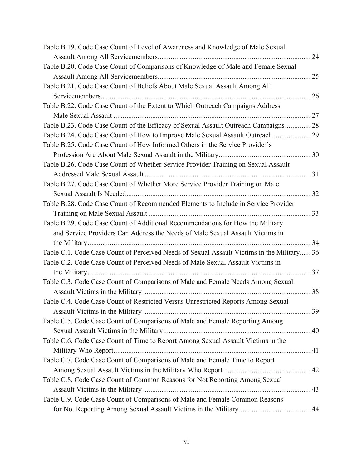| Table B.19. Code Case Count of Level of Awareness and Knowledge of Male Sexual             |    |
|--------------------------------------------------------------------------------------------|----|
|                                                                                            | 24 |
| Table B.20. Code Case Count of Comparisons of Knowledge of Male and Female Sexual          |    |
|                                                                                            | 25 |
| Table B.21. Code Case Count of Beliefs About Male Sexual Assault Among All                 |    |
|                                                                                            | 26 |
| Table B.22. Code Case Count of the Extent to Which Outreach Campaigns Address              |    |
|                                                                                            | 27 |
| Table B.23. Code Case Count of the Efficacy of Sexual Assault Outreach Campaigns 28        |    |
| Table B.24. Code Case Count of How to Improve Male Sexual Assault Outreach 29              |    |
| Table B.25. Code Case Count of How Informed Others in the Service Provider's               |    |
|                                                                                            |    |
| Table B.26. Code Case Count of Whether Service Provider Training on Sexual Assault         |    |
|                                                                                            |    |
| Table B.27. Code Case Count of Whether More Service Provider Training on Male              |    |
|                                                                                            |    |
| Table B.28. Code Case Count of Recommended Elements to Include in Service Provider         |    |
|                                                                                            |    |
| Table B.29. Code Case Count of Additional Recommendations for How the Military             |    |
| and Service Providers Can Address the Needs of Male Sexual Assault Victims in              |    |
|                                                                                            |    |
| Table C.1. Code Case Count of Perceived Needs of Sexual Assault Victims in the Military 36 |    |
| Table C.2. Code Case Count of Perceived Needs of Male Sexual Assault Victims in            |    |
|                                                                                            |    |
| Table C.3. Code Case Count of Comparisons of Male and Female Needs Among Sexual            |    |
|                                                                                            |    |
| Table C.4. Code Case Count of Restricted Versus Unrestricted Reports Among Sexual          |    |
|                                                                                            |    |
| Table C.5. Code Case Count of Comparisons of Male and Female Reporting Among               |    |
|                                                                                            |    |
| Table C.6. Code Case Count of Time to Report Among Sexual Assault Victims in the           |    |
|                                                                                            |    |
| Table C.7. Code Case Count of Comparisons of Male and Female Time to Report                |    |
|                                                                                            |    |
| Table C.8. Code Case Count of Common Reasons for Not Reporting Among Sexual                |    |
|                                                                                            |    |
| Table C.9. Code Case Count of Comparisons of Male and Female Common Reasons                |    |
|                                                                                            |    |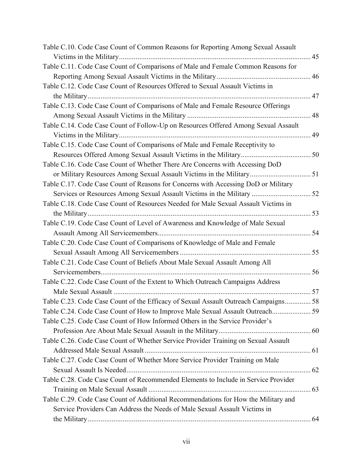| Table C.10. Code Case Count of Common Reasons for Reporting Among Sexual Assault   |    |
|------------------------------------------------------------------------------------|----|
|                                                                                    |    |
| Table C.11. Code Case Count of Comparisons of Male and Female Common Reasons for   |    |
|                                                                                    |    |
| Table C.12. Code Case Count of Resources Offered to Sexual Assault Victims in      |    |
|                                                                                    | 47 |
| Table C.13. Code Case Count of Comparisons of Male and Female Resource Offerings   |    |
|                                                                                    | 48 |
| Table C.14. Code Case Count of Follow-Up on Resources Offered Among Sexual Assault |    |
|                                                                                    | 49 |
| Table C.15. Code Case Count of Comparisons of Male and Female Receptivity to       |    |
|                                                                                    |    |
| Table C.16. Code Case Count of Whether There Are Concerns with Accessing DoD       |    |
|                                                                                    |    |
| Table C.17. Code Case Count of Reasons for Concerns with Accessing DoD or Military |    |
|                                                                                    |    |
| Table C.18. Code Case Count of Resources Needed for Male Sexual Assault Victims in |    |
|                                                                                    | 53 |
| Table C.19. Code Case Count of Level of Awareness and Knowledge of Male Sexual     |    |
|                                                                                    |    |
| Table C.20. Code Case Count of Comparisons of Knowledge of Male and Female         |    |
|                                                                                    |    |
| Table C.21. Code Case Count of Beliefs About Male Sexual Assault Among All         |    |
|                                                                                    |    |
| Table C.22. Code Case Count of the Extent to Which Outreach Campaigns Address      |    |
|                                                                                    |    |
| Table C.23. Code Case Count of the Efficacy of Sexual Assault Outreach Campaigns58 |    |
| Table C.24. Code Case Count of How to Improve Male Sexual Assault Outreach 59      |    |
| Table C.25. Code Case Count of How Informed Others in the Service Provider's       |    |
|                                                                                    |    |
| Table C.26. Code Case Count of Whether Service Provider Training on Sexual Assault |    |
|                                                                                    |    |
| Table C.27. Code Case Count of Whether More Service Provider Training on Male      |    |
|                                                                                    |    |
| Table C.28. Code Case Count of Recommended Elements to Include in Service Provider |    |
|                                                                                    |    |
| Table C.29. Code Case Count of Additional Recommendations for How the Military and |    |
| Service Providers Can Address the Needs of Male Sexual Assault Victims in          |    |
|                                                                                    |    |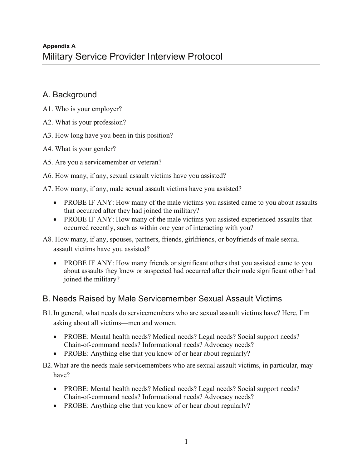## A. Background

- A1. Who is your employer?
- A2. What is your profession?
- A3. How long have you been in this position?
- A4. What is your gender?
- A5. Are you a servicemember or veteran?
- A6. How many, if any, sexual assault victims have you assisted?
- A7. How many, if any, male sexual assault victims have you assisted?
	- PROBE IF ANY: How many of the male victims you assisted came to you about assaults that occurred after they had joined the military?
	- PROBE IF ANY: How many of the male victims you assisted experienced assaults that occurred recently, such as within one year of interacting with you?
- A8. How many, if any, spouses, partners, friends, girlfriends, or boyfriends of male sexual assault victims have you assisted?
	- PROBE IF ANY: How many friends or significant others that you assisted came to you about assaults they knew or suspected had occurred after their male significant other had joined the military?

## B. Needs Raised by Male Servicemember Sexual Assault Victims

- B1.In general, what needs do servicemembers who are sexual assault victims have? Here, I'm asking about all victims—men and women.
	- PROBE: Mental health needs? Medical needs? Legal needs? Social support needs? Chain-of-command needs? Informational needs? Advocacy needs?
	- PROBE: Anything else that you know of or hear about regularly?
- B2.What are the needs male servicemembers who are sexual assault victims, in particular, may have?
	- PROBE: Mental health needs? Medical needs? Legal needs? Social support needs? Chain-of-command needs? Informational needs? Advocacy needs?
	- PROBE: Anything else that you know of or hear about regularly?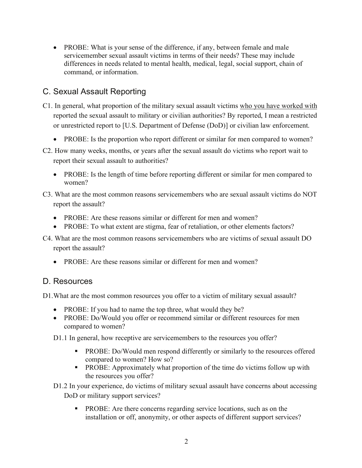• PROBE: What is your sense of the difference, if any, between female and male servicemember sexual assault victims in terms of their needs? These may include differences in needs related to mental health, medical, legal, social support, chain of command, or information.

## C. Sexual Assault Reporting

- C1. In general, what proportion of the military sexual assault victims who you have worked with reported the sexual assault to military or civilian authorities? By reported, I mean a restricted or unrestricted report to [U.S. Department of Defense (DoD)] or civilian law enforcement.
	- PROBE: Is the proportion who report different or similar for men compared to women?
- C2. How many weeks, months, or years after the sexual assault do victims who report wait to report their sexual assault to authorities?
	- PROBE: Is the length of time before reporting different or similar for men compared to women?
- C3. What are the most common reasons servicemembers who are sexual assault victims do NOT report the assault?
	- PROBE: Are these reasons similar or different for men and women?
	- PROBE: To what extent are stigma, fear of retaliation, or other elements factors?
- C4. What are the most common reasons servicemembers who are victims of sexual assault DO report the assault?
	- PROBE: Are these reasons similar or different for men and women?

#### D. Resources

D1.What are the most common resources you offer to a victim of military sexual assault?

- PROBE: If you had to name the top three, what would they be?
- PROBE: Do/Would you offer or recommend similar or different resources for men compared to women?
- D1.1 In general, how receptive are servicemembers to the resources you offer?
	- § PROBE: Do/Would men respond differently or similarly to the resources offered compared to women? How so?
	- § PROBE: Approximately what proportion of the time do victims follow up with the resources you offer?

D1.2 In your experience, do victims of military sexual assault have concerns about accessing DoD or military support services?

**•** PROBE: Are there concerns regarding service locations, such as on the installation or off, anonymity, or other aspects of different support services?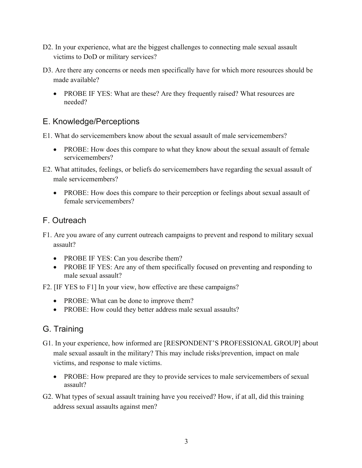- D2. In your experience, what are the biggest challenges to connecting male sexual assault victims to DoD or military services?
- D3. Are there any concerns or needs men specifically have for which more resources should be made available?
	- PROBE IF YES: What are these? Are they frequently raised? What resources are needed?

## E. Knowledge/Perceptions

- E1. What do servicemembers know about the sexual assault of male servicemembers?
	- PROBE: How does this compare to what they know about the sexual assault of female servicemembers?
- E2. What attitudes, feelings, or beliefs do servicemembers have regarding the sexual assault of male servicemembers?
	- PROBE: How does this compare to their perception or feelings about sexual assault of female servicemembers?

## F. Outreach

- F1. Are you aware of any current outreach campaigns to prevent and respond to military sexual assault?
	- PROBE IF YES: Can you describe them?
	- PROBE IF YES: Are any of them specifically focused on preventing and responding to male sexual assault?
- F2. [IF YES to F1] In your view, how effective are these campaigns?
	- PROBE: What can be done to improve them?
	- PROBE: How could they better address male sexual assaults?

## G. Training

- G1. In your experience, how informed are [RESPONDENT'S PROFESSIONAL GROUP] about male sexual assault in the military? This may include risks/prevention, impact on male victims, and response to male victims.
	- PROBE: How prepared are they to provide services to male servicemembers of sexual assault?
- G2. What types of sexual assault training have you received? How, if at all, did this training address sexual assaults against men?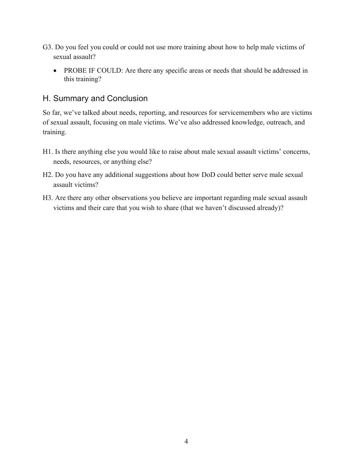- G3. Do you feel you could or could not use more training about how to help male victims of sexual assault?
	- PROBE IF COULD: Are there any specific areas or needs that should be addressed in this training?

## H. Summary and Conclusion

So far, we've talked about needs, reporting, and resources for servicemembers who are victims of sexual assault, focusing on male victims. We've also addressed knowledge, outreach, and training.

- H1. Is there anything else you would like to raise about male sexual assault victims' concerns, needs, resources, or anything else?
- H2. Do you have any additional suggestions about how DoD could better serve male sexual assault victims?
- H3. Are there any other observations you believe are important regarding male sexual assault victims and their care that you wish to share (that we haven't discussed already)?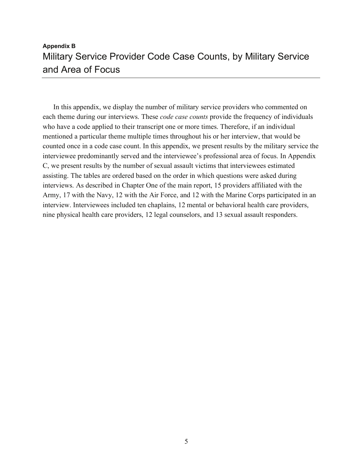## **Appendix B**  Military Service Provider Code Case Counts, by Military Service and Area of Focus

In this appendix, we display the number of military service providers who commented on each theme during our interviews. These *code case counts* provide the frequency of individuals who have a code applied to their transcript one or more times. Therefore, if an individual mentioned a particular theme multiple times throughout his or her interview, that would be counted once in a code case count. In this appendix, we present results by the military service the interviewee predominantly served and the interviewee's professional area of focus. In Appendix C, we present results by the number of sexual assault victims that interviewees estimated assisting. The tables are ordered based on the order in which questions were asked during interviews. As described in Chapter One of the main report, 15 providers affiliated with the Army, 17 with the Navy, 12 with the Air Force, and 12 with the Marine Corps participated in an interview. Interviewees included ten chaplains, 12 mental or behavioral health care providers, nine physical health care providers, 12 legal counselors, and 13 sexual assault responders.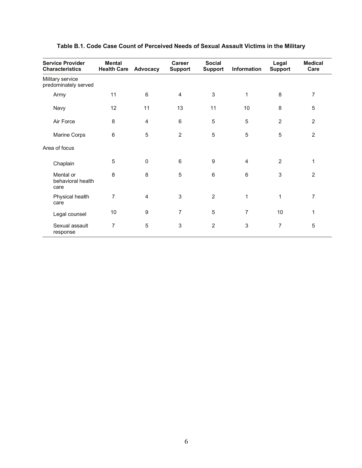| <b>Service Provider</b><br><b>Characteristics</b> | <b>Mental</b><br><b>Health Care</b> | Advocacy       | Career<br><b>Support</b> | <b>Social</b><br><b>Support</b> | Information    | Legal<br><b>Support</b> | <b>Medical</b><br>Care |
|---------------------------------------------------|-------------------------------------|----------------|--------------------------|---------------------------------|----------------|-------------------------|------------------------|
| Military service<br>predominately served          |                                     |                |                          |                                 |                |                         |                        |
| Army                                              | 11                                  | 6              | $\overline{4}$           | $\sqrt{3}$                      | 1              | 8                       | 7                      |
| Navy                                              | 12                                  | 11             | 13                       | 11                              | 10             | 8                       | 5                      |
| Air Force                                         | 8                                   | 4              | 6                        | $\mathbf 5$                     | 5              | $\overline{2}$          | $\overline{2}$         |
| Marine Corps                                      | 6                                   | 5              | $\overline{2}$           | $\sqrt{5}$                      | 5              | 5                       | $\overline{2}$         |
| Area of focus                                     |                                     |                |                          |                                 |                |                         |                        |
| Chaplain                                          | 5                                   | 0              | 6                        | $\boldsymbol{9}$                | $\overline{4}$ | $\overline{2}$          | 1                      |
| Mental or<br>behavioral health<br>care            | 8                                   | 8              | 5                        | $\,6$                           | 6              | 3                       | $\overline{2}$         |
| Physical health<br>care                           | $\overline{7}$                      | $\overline{4}$ | 3                        | $\overline{2}$                  | $\mathbf{1}$   | 1                       | 7                      |
| Legal counsel                                     | 10                                  | 9              | $\overline{7}$           | 5                               | $\overline{7}$ | 10                      | 1                      |
| Sexual assault<br>response                        | 7                                   | 5              | 3                        | $\overline{2}$                  | 3              | 7                       | $\mathbf 5$            |

#### **Table B.1. Code Case Count of Perceived Needs of Sexual Assault Victims in the Military**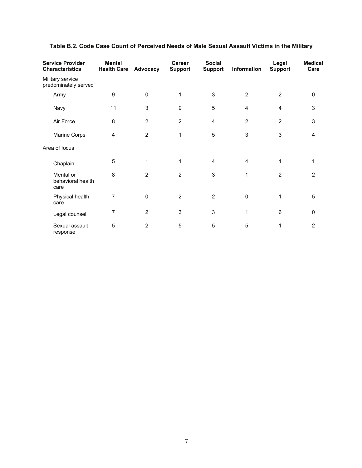| <b>Service Provider</b><br><b>Characteristics</b> | <b>Mental</b><br><b>Health Care</b> | Advocacy       | Career<br><b>Support</b> | <b>Social</b><br><b>Support</b> | Information    | Legal<br><b>Support</b> | <b>Medical</b><br>Care |
|---------------------------------------------------|-------------------------------------|----------------|--------------------------|---------------------------------|----------------|-------------------------|------------------------|
| Military service<br>predominately served          |                                     |                |                          |                                 |                |                         |                        |
| Army                                              | $\boldsymbol{9}$                    | 0              | 1                        | 3                               | 2              | 2                       | $\pmb{0}$              |
| Navy                                              | 11                                  | 3              | 9                        | 5                               | 4              | 4                       | 3                      |
| Air Force                                         | 8                                   | $\overline{2}$ | $\overline{2}$           | $\overline{4}$                  | $\overline{2}$ | $\overline{2}$          | 3                      |
| Marine Corps                                      | $\overline{4}$                      | $\overline{2}$ | 1                        | $\mathbf 5$                     | 3              | 3                       | 4                      |
| Area of focus                                     |                                     |                |                          |                                 |                |                         |                        |
| Chaplain                                          | 5                                   | 1              | 1                        | 4                               | 4              | 1                       | 1                      |
| Mental or<br>behavioral health<br>care            | 8                                   | 2              | $\overline{2}$           | 3                               | 1              | $\overline{2}$          | $\overline{2}$         |
| Physical health<br>care                           | $\overline{7}$                      | $\Omega$       | 2                        | $\overline{2}$                  | $\mathbf{0}$   | 1                       | 5                      |
| Legal counsel                                     | 7                                   | $\overline{2}$ | 3                        | $\mathbf{3}$                    | 1              | 6                       | $\mathbf 0$            |
| Sexual assault<br>response                        | 5                                   | $\overline{2}$ | 5                        | 5                               | 5              | 1                       | 2                      |

#### **Table B.2. Code Case Count of Perceived Needs of Male Sexual Assault Victims in the Military**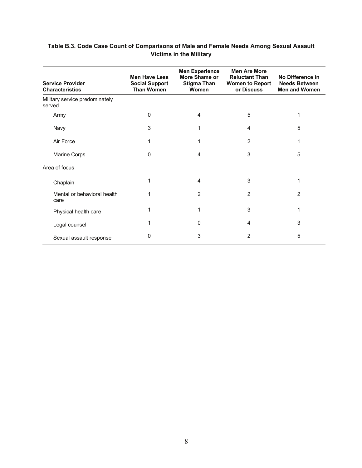| <b>Service Provider</b><br><b>Characteristics</b> | <b>Men Have Less</b><br><b>Social Support</b><br><b>Than Women</b> | <b>Men Experience</b><br>More Shame or<br><b>Stigma Than</b><br>Women | <b>Men Are More</b><br><b>Reluctant Than</b><br><b>Women to Report</b><br>or Discuss | No Difference in<br><b>Needs Between</b><br><b>Men and Women</b> |
|---------------------------------------------------|--------------------------------------------------------------------|-----------------------------------------------------------------------|--------------------------------------------------------------------------------------|------------------------------------------------------------------|
| Military service predominately<br>served          |                                                                    |                                                                       |                                                                                      |                                                                  |
| Army                                              | $\mathbf{0}$                                                       | 4                                                                     | 5                                                                                    |                                                                  |
| Navy                                              | 3                                                                  |                                                                       | 4                                                                                    | 5                                                                |
| Air Force                                         | 1                                                                  |                                                                       | $\overline{2}$                                                                       | 1                                                                |
| Marine Corps                                      | 0                                                                  | 4                                                                     | 3                                                                                    | 5                                                                |
| Area of focus                                     |                                                                    |                                                                       |                                                                                      |                                                                  |
| Chaplain                                          |                                                                    | 4                                                                     | 3                                                                                    |                                                                  |
| Mental or behavioral health<br>care               |                                                                    | 2                                                                     | $\overline{2}$                                                                       | $\overline{2}$                                                   |
| Physical health care                              |                                                                    | 1                                                                     | 3                                                                                    | 1                                                                |
| Legal counsel                                     |                                                                    | 0                                                                     | 4                                                                                    | 3                                                                |
| Sexual assault response                           | 0                                                                  | 3                                                                     | 2                                                                                    | 5                                                                |

#### **Table B.3. Code Case Count of Comparisons of Male and Female Needs Among Sexual Assault Victims in the Military**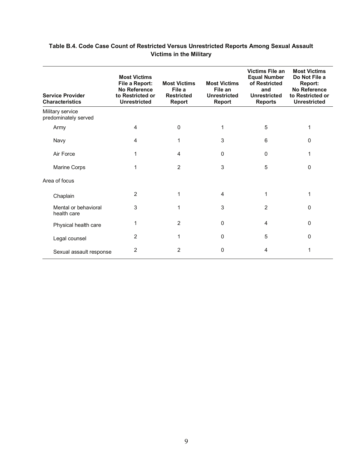| Table B.4. Code Case Count of Restricted Versus Unrestricted Reports Among Sexual Assault |
|-------------------------------------------------------------------------------------------|
| <b>Victims in the Military</b>                                                            |

| <b>Service Provider</b><br><b>Characteristics</b> | <b>Most Victims</b><br>File a Report:<br><b>No Reference</b><br>to Restricted or<br><b>Unrestricted</b> | <b>Most Victims</b><br>File a<br><b>Restricted</b><br><b>Report</b> | <b>Most Victims</b><br>File an<br><b>Unrestricted</b><br>Report | <b>Victims File an</b><br><b>Equal Number</b><br>of Restricted<br>and<br><b>Unrestricted</b><br><b>Reports</b> | <b>Most Victims</b><br>Do Not File a<br>Report:<br><b>No Reference</b><br>to Restricted or<br><b>Unrestricted</b> |
|---------------------------------------------------|---------------------------------------------------------------------------------------------------------|---------------------------------------------------------------------|-----------------------------------------------------------------|----------------------------------------------------------------------------------------------------------------|-------------------------------------------------------------------------------------------------------------------|
| Military service<br>predominately served          |                                                                                                         |                                                                     |                                                                 |                                                                                                                |                                                                                                                   |
| Army                                              | 4                                                                                                       | $\mathbf{0}$                                                        | 1                                                               | 5                                                                                                              |                                                                                                                   |
| Navy                                              | 4                                                                                                       | 1                                                                   | 3                                                               | 6                                                                                                              | $\Omega$                                                                                                          |
| Air Force                                         | 1                                                                                                       | 4                                                                   | 0                                                               | 0                                                                                                              |                                                                                                                   |
| Marine Corps                                      | 1                                                                                                       | $\overline{2}$                                                      | 3                                                               | 5                                                                                                              | $\Omega$                                                                                                          |
| Area of focus                                     |                                                                                                         |                                                                     |                                                                 |                                                                                                                |                                                                                                                   |
| Chaplain                                          | 2                                                                                                       | 1                                                                   | 4                                                               | 1                                                                                                              | 1                                                                                                                 |
| Mental or behavioral<br>health care               | 3                                                                                                       | 1                                                                   | 3                                                               | 2                                                                                                              | $\Omega$                                                                                                          |
| Physical health care                              | 1                                                                                                       | $\overline{2}$                                                      | 0                                                               | 4                                                                                                              | $\Omega$                                                                                                          |
| Legal counsel                                     | 2                                                                                                       | 1                                                                   | $\mathbf{0}$                                                    | 5                                                                                                              | $\Omega$                                                                                                          |
| Sexual assault response                           | 2                                                                                                       | 2                                                                   | 0                                                               | 4                                                                                                              |                                                                                                                   |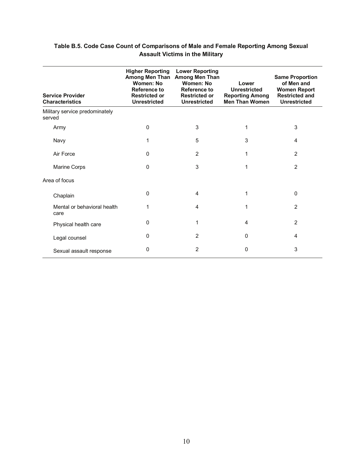| <b>Service Provider</b><br><b>Characteristics</b> | <b>Higher Reporting</b><br><b>Among Men Than</b><br><b>Women: No</b><br><b>Reference to</b><br><b>Restricted or</b><br><b>Unrestricted</b> | <b>Lower Reporting</b><br><b>Among Men Than</b><br>Women: No<br>Reference to<br><b>Restricted or</b><br><b>Unrestricted</b> | Lower<br><b>Unrestricted</b><br><b>Reporting Among</b><br><b>Men Than Women</b> | <b>Same Proportion</b><br>of Men and<br><b>Women Report</b><br><b>Restricted and</b><br><b>Unrestricted</b> |
|---------------------------------------------------|--------------------------------------------------------------------------------------------------------------------------------------------|-----------------------------------------------------------------------------------------------------------------------------|---------------------------------------------------------------------------------|-------------------------------------------------------------------------------------------------------------|
| Military service predominately<br>served          |                                                                                                                                            |                                                                                                                             |                                                                                 |                                                                                                             |
| Army                                              | 0                                                                                                                                          | 3                                                                                                                           |                                                                                 | 3                                                                                                           |
| Navy                                              | 1                                                                                                                                          | 5                                                                                                                           | 3                                                                               | 4                                                                                                           |
| Air Force                                         | 0                                                                                                                                          | 2                                                                                                                           | 1                                                                               | 2                                                                                                           |
| Marine Corps                                      | 0                                                                                                                                          | 3                                                                                                                           | 1                                                                               | $\overline{2}$                                                                                              |
| Area of focus                                     |                                                                                                                                            |                                                                                                                             |                                                                                 |                                                                                                             |
| Chaplain                                          | 0                                                                                                                                          | 4                                                                                                                           |                                                                                 | $\Omega$                                                                                                    |
| Mental or behavioral health<br>care               | 1                                                                                                                                          | 4                                                                                                                           |                                                                                 | $\overline{2}$                                                                                              |
| Physical health care                              | 0                                                                                                                                          | 1                                                                                                                           | 4                                                                               | $\overline{2}$                                                                                              |
| Legal counsel                                     | 0                                                                                                                                          | 2                                                                                                                           | $\Omega$                                                                        | 4                                                                                                           |
| Sexual assault response                           | 0                                                                                                                                          | $\overline{2}$                                                                                                              | 0                                                                               | 3                                                                                                           |

#### **Table B.5. Code Case Count of Comparisons of Male and Female Reporting Among Sexual Assault Victims in the Military**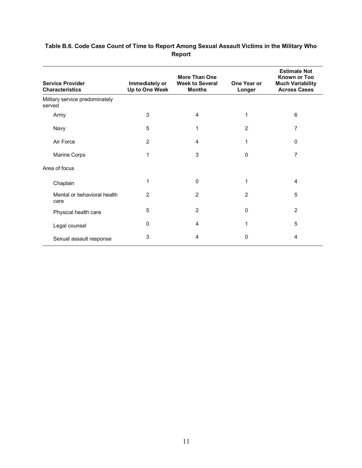| <b>Service Provider</b><br><b>Characteristics</b> | Immediately or<br>Up to One Week | <b>More Than One</b><br><b>Week to Several</b><br><b>Months</b> | One Year or<br>Longer | <b>Estimate Not</b><br><b>Known or Too</b><br><b>Much Variability</b><br><b>Across Cases</b> |
|---------------------------------------------------|----------------------------------|-----------------------------------------------------------------|-----------------------|----------------------------------------------------------------------------------------------|
| Military service predominately<br>served          |                                  |                                                                 |                       |                                                                                              |
| Army                                              | 3                                | 4                                                               | 1                     | 6                                                                                            |
| Navy                                              | 5                                | 1                                                               | $\overline{2}$        | 7                                                                                            |
| Air Force                                         | $\overline{c}$                   | 4                                                               | 1                     | $\mathbf 0$                                                                                  |
| Marine Corps                                      | 1                                | 3                                                               | $\Omega$              | $\overline{7}$                                                                               |
| Area of focus                                     |                                  |                                                                 |                       |                                                                                              |
| Chaplain                                          | 1                                | 0                                                               | 1                     | 4                                                                                            |
| Mental or behavioral health<br>care               | 2                                | 2                                                               | 2                     | 5                                                                                            |
| Physical health care                              | 5                                | 2                                                               | $\Omega$              | $\overline{2}$                                                                               |
| Legal counsel                                     | 0                                | 4                                                               | 1                     | 5                                                                                            |
| Sexual assault response                           | 3                                | 4                                                               | 0                     | 4                                                                                            |

#### **Table B.6. Code Case Count of Time to Report Among Sexual Assault Victims in the Military Who Report**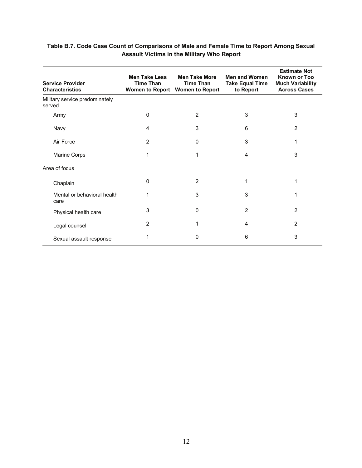| <b>Service Provider</b><br><b>Characteristics</b> | <b>Men Take Less</b><br><b>Time Than</b> | <b>Men Take More</b><br><b>Time Than</b><br>Women to Report Women to Report | <b>Men and Women</b><br><b>Take Equal Time</b><br>to Report | <b>Estimate Not</b><br><b>Known or Too</b><br><b>Much Variability</b><br><b>Across Cases</b> |
|---------------------------------------------------|------------------------------------------|-----------------------------------------------------------------------------|-------------------------------------------------------------|----------------------------------------------------------------------------------------------|
| Military service predominately<br>served          |                                          |                                                                             |                                                             |                                                                                              |
| Army                                              | 0                                        | 2                                                                           | 3                                                           | 3                                                                                            |
| Navy                                              | 4                                        | 3                                                                           | 6                                                           | $\overline{2}$                                                                               |
| Air Force                                         | 2                                        | 0                                                                           | 3                                                           | 1                                                                                            |
| Marine Corps                                      | 1                                        | 1                                                                           | 4                                                           | 3                                                                                            |
| Area of focus                                     |                                          |                                                                             |                                                             |                                                                                              |
| Chaplain                                          | 0                                        | 2                                                                           | 1                                                           | 1                                                                                            |
| Mental or behavioral health<br>care               | 1                                        | 3                                                                           | 3                                                           | 1                                                                                            |
| Physical health care                              | 3                                        | 0                                                                           | $\overline{2}$                                              | 2                                                                                            |
| Legal counsel                                     | 2                                        | 1                                                                           | $\overline{4}$                                              | $\overline{2}$                                                                               |
| Sexual assault response                           | 1                                        | 0                                                                           | 6                                                           | 3                                                                                            |

#### **Table B.7. Code Case Count of Comparisons of Male and Female Time to Report Among Sexual Assault Victims in the Military Who Report**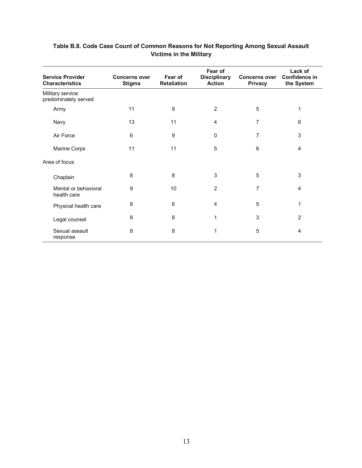| <b>Service Provider</b><br><b>Characteristics</b> | <b>Concerns over</b><br><b>Stigma</b> | Fear of<br><b>Retaliation</b> | Fear of<br><b>Disciplinary</b><br><b>Action</b> | <b>Concerns over</b><br><b>Privacy</b> | Lack of<br>Confidence in<br>the System |
|---------------------------------------------------|---------------------------------------|-------------------------------|-------------------------------------------------|----------------------------------------|----------------------------------------|
| Military service<br>predominately served          |                                       |                               |                                                 |                                        |                                        |
| Army                                              | 11                                    | 9                             | $\overline{2}$                                  | 5                                      | 1                                      |
| Navy                                              | 13                                    | 11                            | $\overline{4}$                                  | 7                                      | 6                                      |
| Air Force                                         | 6                                     | 9                             | 0                                               | 7                                      | 3                                      |
| Marine Corps                                      | 11                                    | 11                            | 5                                               | 6                                      | $\overline{4}$                         |
| Area of focus                                     |                                       |                               |                                                 |                                        |                                        |
| Chaplain                                          | 8                                     | 8                             | 3                                               | 5                                      | 3                                      |
| Mental or behavioral<br>health care               | 9                                     | 10                            | $\overline{2}$                                  | $\overline{7}$                         | 4                                      |
| Physical health care                              | 8                                     | 6                             | 4                                               | 5                                      | 1                                      |
| Legal counsel                                     | 8                                     | 8                             | 1                                               | 3                                      | $\overline{2}$                         |
| Sexual assault<br>response                        | 8                                     | 8                             | 1                                               | 5                                      | 4                                      |

#### **Table B.8. Code Case Count of Common Reasons for Not Reporting Among Sexual Assault Victims in the Military**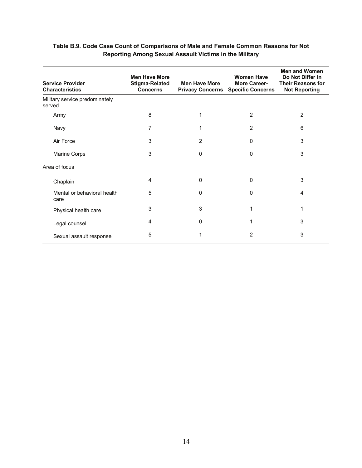| <b>Service Provider</b><br><b>Characteristics</b> | <b>Men Have More</b><br><b>Stigma-Related</b><br><b>Concerns</b> | <b>Men Have More</b><br><b>Privacy Concerns</b> | <b>Women Have</b><br><b>More Career-</b><br><b>Specific Concerns</b> | <b>Men and Women</b><br>Do Not Differ in<br><b>Their Reasons for</b><br><b>Not Reporting</b> |
|---------------------------------------------------|------------------------------------------------------------------|-------------------------------------------------|----------------------------------------------------------------------|----------------------------------------------------------------------------------------------|
| Military service predominately<br>served          |                                                                  |                                                 |                                                                      |                                                                                              |
| Army                                              | 8                                                                | 1                                               | $\overline{2}$                                                       | $\overline{2}$                                                                               |
| Navy                                              | 7                                                                | 1                                               | $\overline{2}$                                                       | 6                                                                                            |
| Air Force                                         | 3                                                                | $\overline{2}$                                  | 0                                                                    | 3                                                                                            |
| Marine Corps                                      | 3                                                                | 0                                               | 0                                                                    | 3                                                                                            |
| Area of focus                                     |                                                                  |                                                 |                                                                      |                                                                                              |
| Chaplain                                          | 4                                                                | 0                                               | 0                                                                    | 3                                                                                            |
| Mental or behavioral health<br>care               | 5                                                                | 0                                               | 0                                                                    | 4                                                                                            |
| Physical health care                              | 3                                                                | 3                                               | 1                                                                    | 1                                                                                            |
| Legal counsel                                     | 4                                                                | 0                                               |                                                                      | 3                                                                                            |
| Sexual assault response                           | 5                                                                |                                                 | 2                                                                    | 3                                                                                            |

#### **Table B.9. Code Case Count of Comparisons of Male and Female Common Reasons for Not Reporting Among Sexual Assault Victims in the Military**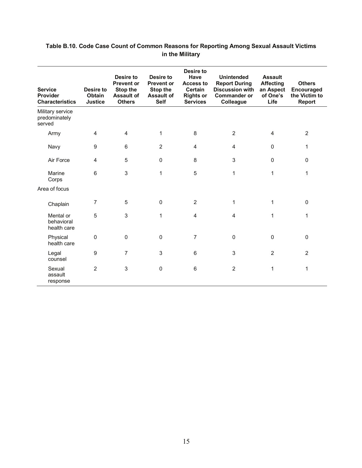| <b>Service</b><br>Provider<br><b>Characteristics</b> | Desire to<br>Obtain<br><b>Justice</b> | Desire to<br><b>Prevent or</b><br>Stop the<br><b>Assault of</b><br><b>Others</b> | Desire to<br><b>Prevent or</b><br>Stop the<br><b>Assault of</b><br><b>Self</b> | Desire to<br><b>Have</b><br><b>Access to</b><br><b>Certain</b><br><b>Rights or</b><br><b>Services</b> | <b>Unintended</b><br><b>Report During</b><br><b>Discussion with</b><br><b>Commander or</b><br>Colleague | <b>Assault</b><br><b>Affecting</b><br>an Aspect<br>of One's<br>Life | <b>Others</b><br>Encouraged<br>the Victim to<br><b>Report</b> |
|------------------------------------------------------|---------------------------------------|----------------------------------------------------------------------------------|--------------------------------------------------------------------------------|-------------------------------------------------------------------------------------------------------|---------------------------------------------------------------------------------------------------------|---------------------------------------------------------------------|---------------------------------------------------------------|
| Military service<br>predominately<br>served          |                                       |                                                                                  |                                                                                |                                                                                                       |                                                                                                         |                                                                     |                                                               |
| Army                                                 | $\overline{4}$                        | $\overline{4}$                                                                   | 1                                                                              | 8                                                                                                     | $\overline{2}$                                                                                          | 4                                                                   | $\overline{2}$                                                |
| Navy                                                 | $\boldsymbol{9}$                      | 6                                                                                | $\overline{2}$                                                                 | 4                                                                                                     | 4                                                                                                       | $\mathbf 0$                                                         | 1                                                             |
| Air Force                                            | 4                                     | 5                                                                                | $\mathbf 0$                                                                    | 8                                                                                                     | 3                                                                                                       | $\mathbf{0}$                                                        | $\pmb{0}$                                                     |
| Marine<br>Corps                                      | 6                                     | 3                                                                                | 1                                                                              | 5                                                                                                     | $\mathbf{1}$                                                                                            | 1                                                                   | 1                                                             |
| Area of focus                                        |                                       |                                                                                  |                                                                                |                                                                                                       |                                                                                                         |                                                                     |                                                               |
| Chaplain                                             | 7                                     | 5                                                                                | $\Omega$                                                                       | $\overline{2}$                                                                                        | 1                                                                                                       | 1                                                                   | $\pmb{0}$                                                     |
| Mental or<br>behavioral<br>health care               | 5                                     | 3                                                                                | 1                                                                              | 4                                                                                                     | 4                                                                                                       | 1                                                                   | 1                                                             |
| Physical<br>health care                              | 0                                     | $\mathbf 0$                                                                      | $\Omega$                                                                       | $\overline{7}$                                                                                        | 0                                                                                                       | $\mathbf 0$                                                         | $\pmb{0}$                                                     |
| Legal<br>counsel                                     | 9                                     | $\overline{7}$                                                                   | 3                                                                              | 6                                                                                                     | 3                                                                                                       | $\overline{2}$                                                      | $\overline{2}$                                                |
| Sexual<br>assault<br>response                        | $\overline{2}$                        | 3                                                                                | 0                                                                              | 6                                                                                                     | $\overline{2}$                                                                                          | 1                                                                   | 1                                                             |

#### **Table B.10. Code Case Count of Common Reasons for Reporting Among Sexual Assault Victims in the Military**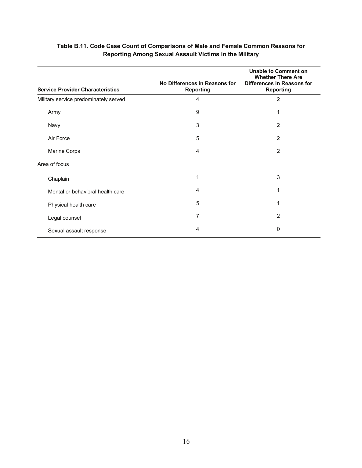| <b>Service Provider Characteristics</b> | No Differences in Reasons for<br><b>Reporting</b> | <b>Unable to Comment on</b><br><b>Whether There Are</b><br><b>Differences in Reasons for</b><br><b>Reporting</b> |
|-----------------------------------------|---------------------------------------------------|------------------------------------------------------------------------------------------------------------------|
| Military service predominately served   | $\overline{4}$                                    | $\overline{2}$                                                                                                   |
| Army                                    | 9                                                 | 1                                                                                                                |
| Navy                                    | 3                                                 | $\overline{2}$                                                                                                   |
| Air Force                               | 5                                                 | $\overline{2}$                                                                                                   |
| Marine Corps                            | 4                                                 | $\overline{2}$                                                                                                   |
| Area of focus                           |                                                   |                                                                                                                  |
| Chaplain                                | 1                                                 | 3                                                                                                                |
| Mental or behavioral health care        | 4                                                 | 1                                                                                                                |
| Physical health care                    | 5                                                 | 1                                                                                                                |
| Legal counsel                           | 7                                                 | $\overline{2}$                                                                                                   |
| Sexual assault response                 | 4                                                 | 0                                                                                                                |

#### **Table B.11. Code Case Count of Comparisons of Male and Female Common Reasons for Reporting Among Sexual Assault Victims in the Military**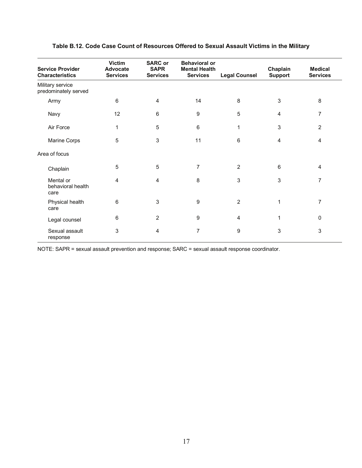| <b>Service Provider</b><br><b>Characteristics</b> | <b>Victim</b><br>Advocate<br><b>Services</b> | <b>SARC or</b><br><b>SAPR</b><br><b>Services</b> | <b>Behavioral or</b><br><b>Mental Health</b><br><b>Services</b> | <b>Legal Counsel</b> | Chaplain<br><b>Support</b> | <b>Medical</b><br><b>Services</b> |
|---------------------------------------------------|----------------------------------------------|--------------------------------------------------|-----------------------------------------------------------------|----------------------|----------------------------|-----------------------------------|
| Military service<br>predominately served          |                                              |                                                  |                                                                 |                      |                            |                                   |
| Army                                              | 6                                            | 4                                                | 14                                                              | 8                    | 3                          | 8                                 |
| Navy                                              | 12                                           | 6                                                | $\boldsymbol{9}$                                                | 5                    | 4                          | $\overline{7}$                    |
| Air Force                                         | 1                                            | 5                                                | 6                                                               | 1                    | 3                          | $\overline{2}$                    |
| Marine Corps                                      | 5                                            | 3                                                | 11                                                              | $6\phantom{1}$       | 4                          | $\overline{4}$                    |
| Area of focus                                     |                                              |                                                  |                                                                 |                      |                            |                                   |
| Chaplain                                          | 5                                            | 5                                                | $\overline{7}$                                                  | $\overline{2}$       | 6                          | 4                                 |
| Mental or<br>behavioral health<br>care            | 4                                            | 4                                                | 8                                                               | 3                    | 3                          | 7                                 |
| Physical health<br>care                           | 6                                            | 3                                                | 9                                                               | $\overline{2}$       | 1                          | $\overline{7}$                    |
| Legal counsel                                     | 6                                            | $\overline{2}$                                   | 9                                                               | 4                    | 1                          | $\mathbf 0$                       |
| Sexual assault<br>response                        | 3                                            | 4                                                | $\overline{7}$                                                  | 9                    | 3                          | 3                                 |

#### **Table B.12. Code Case Count of Resources Offered to Sexual Assault Victims in the Military**

NOTE: SAPR = sexual assault prevention and response; SARC = sexual assault response coordinator.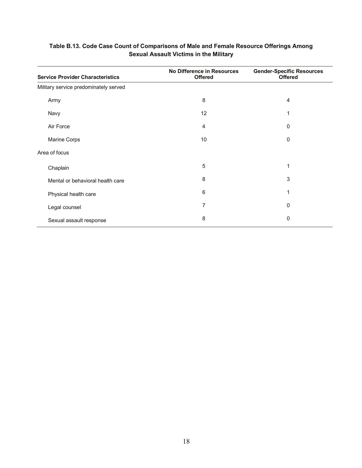| <b>Service Provider Characteristics</b> | <b>No Difference in Resources</b><br><b>Offered</b> | <b>Gender-Specific Resources</b><br><b>Offered</b> |
|-----------------------------------------|-----------------------------------------------------|----------------------------------------------------|
| Military service predominately served   |                                                     |                                                    |
| Army                                    | 8                                                   | 4                                                  |
| Navy                                    | 12                                                  | 1                                                  |
| Air Force                               | 4                                                   | 0                                                  |
| Marine Corps                            | 10                                                  | 0                                                  |
| Area of focus                           |                                                     |                                                    |
| Chaplain                                | 5                                                   | 1                                                  |
| Mental or behavioral health care        | 8                                                   | 3                                                  |
| Physical health care                    | 6                                                   | 1                                                  |
| Legal counsel                           | 7                                                   | 0                                                  |
| Sexual assault response                 | 8                                                   | 0                                                  |

#### **Table B.13. Code Case Count of Comparisons of Male and Female Resource Offerings Among Sexual Assault Victims in the Military**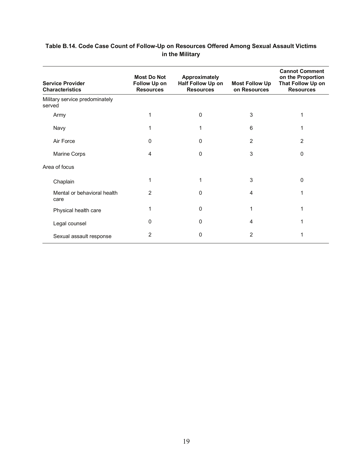| <b>Service Provider</b><br><b>Characteristics</b> | <b>Most Do Not</b><br><b>Follow Up on</b><br><b>Resources</b> | <b>Approximately</b><br>Half Follow Up on<br><b>Resources</b> | <b>Most Follow Up</b><br>on Resources | <b>Cannot Comment</b><br>on the Proportion<br>That Follow Up on<br><b>Resources</b> |
|---------------------------------------------------|---------------------------------------------------------------|---------------------------------------------------------------|---------------------------------------|-------------------------------------------------------------------------------------|
| Military service predominately<br>served          |                                                               |                                                               |                                       |                                                                                     |
| Army                                              | 1                                                             | $\Omega$                                                      | 3                                     | 1                                                                                   |
| Navy                                              | 1                                                             |                                                               | 6                                     | 1                                                                                   |
| Air Force                                         | 0                                                             | 0                                                             | $\overline{2}$                        | 2                                                                                   |
| Marine Corps                                      | 4                                                             | 0                                                             | 3                                     | 0                                                                                   |
| Area of focus                                     |                                                               |                                                               |                                       |                                                                                     |
| Chaplain                                          | 1                                                             | 1                                                             | 3                                     | 0                                                                                   |
| Mental or behavioral health<br>care               | 2                                                             | 0                                                             | 4                                     |                                                                                     |
| Physical health care                              | 1                                                             | 0                                                             | 1                                     | 1                                                                                   |
| Legal counsel                                     | 0                                                             | 0                                                             | 4                                     |                                                                                     |
| Sexual assault response                           | 2                                                             | 0                                                             | 2                                     |                                                                                     |

#### **Table B.14. Code Case Count of Follow-Up on Resources Offered Among Sexual Assault Victims in the Military**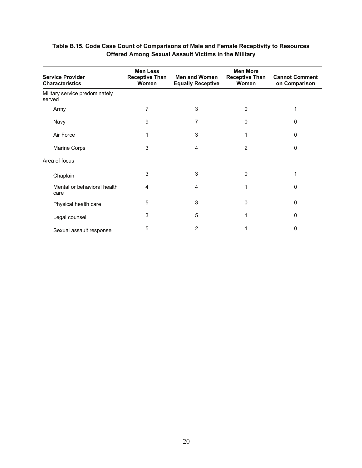| <b>Service Provider</b><br><b>Characteristics</b> | <b>Men Less</b><br><b>Receptive Than</b><br><b>Women</b> | <b>Men and Women</b><br><b>Equally Receptive</b> | <b>Men More</b><br><b>Receptive Than</b><br>Women | <b>Cannot Comment</b><br>on Comparison |
|---------------------------------------------------|----------------------------------------------------------|--------------------------------------------------|---------------------------------------------------|----------------------------------------|
| Military service predominately<br>served          |                                                          |                                                  |                                                   |                                        |
| Army                                              | 7                                                        | 3                                                | $\Omega$                                          | 1                                      |
| Navy                                              | 9                                                        | 7                                                | $\mathbf{0}$                                      | 0                                      |
| Air Force                                         | 1                                                        | 3                                                |                                                   | 0                                      |
| Marine Corps                                      | 3                                                        | 4                                                | $\overline{2}$                                    | $\Omega$                               |
| Area of focus                                     |                                                          |                                                  |                                                   |                                        |
| Chaplain                                          | 3                                                        | 3                                                | $\mathbf 0$                                       | 1                                      |
| Mental or behavioral health<br>care               | 4                                                        | 4                                                | 1                                                 | 0                                      |
| Physical health care                              | 5                                                        | 3                                                | $\mathbf{0}$                                      | 0                                      |
| Legal counsel                                     | 3                                                        | 5                                                |                                                   | 0                                      |
| Sexual assault response                           | 5                                                        | 2                                                |                                                   | 0                                      |

#### **Table B.15. Code Case Count of Comparisons of Male and Female Receptivity to Resources Offered Among Sexual Assault Victims in the Military**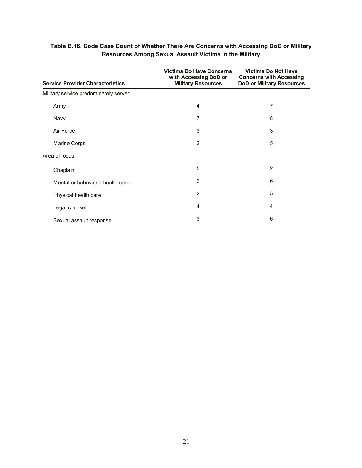| <b>Service Provider Characteristics</b> | <b>Victims Do Have Concerns</b><br>with Accessing DoD or<br><b>Military Resources</b> | <b>Victims Do Not Have</b><br><b>Concerns with Accessing</b><br><b>DoD or Military Resources</b> |
|-----------------------------------------|---------------------------------------------------------------------------------------|--------------------------------------------------------------------------------------------------|
| Military service predominately served   |                                                                                       |                                                                                                  |
| Army                                    | 4                                                                                     | 7                                                                                                |
| Navy                                    | 7                                                                                     | 8                                                                                                |
| Air Force                               | 3                                                                                     | 3                                                                                                |
| <b>Marine Corps</b>                     | $\overline{2}$                                                                        | 5                                                                                                |
| Area of focus                           |                                                                                       |                                                                                                  |
| Chaplain                                | 5                                                                                     | $\overline{2}$                                                                                   |
| Mental or behavioral health care        | 2                                                                                     | 6                                                                                                |
| Physical health care                    | 2                                                                                     | 5                                                                                                |
| Legal counsel                           | 4                                                                                     | 4                                                                                                |
| Sexual assault response                 | 3                                                                                     | 6                                                                                                |

#### **Table B.16. Code Case Count of Whether There Are Concerns with Accessing DoD or Military Resources Among Sexual Assault Victims in the Military**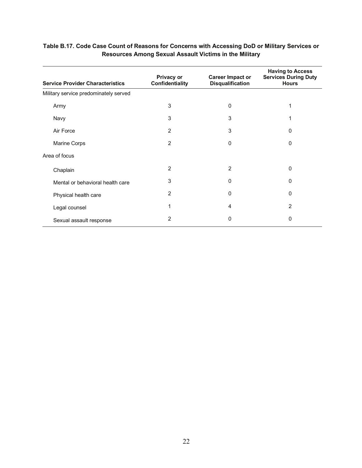| <b>Service Provider Characteristics</b> | <b>Privacy or</b><br>Confidentiality | <b>Career Impact or</b><br><b>Disqualification</b> | <b>Having to Access</b><br><b>Services During Duty</b><br><b>Hours</b> |
|-----------------------------------------|--------------------------------------|----------------------------------------------------|------------------------------------------------------------------------|
| Military service predominately served   |                                      |                                                    |                                                                        |
| Army                                    | 3                                    | $\mathbf{0}$                                       |                                                                        |
| Navy                                    | 3                                    | 3                                                  |                                                                        |
| Air Force                               | 2                                    | 3                                                  | $\Omega$                                                               |
| Marine Corps                            | 2                                    | $\mathbf{0}$                                       | $\mathbf{0}$                                                           |
| Area of focus                           |                                      |                                                    |                                                                        |
| Chaplain                                | 2                                    | $\overline{2}$                                     | 0                                                                      |
| Mental or behavioral health care        | 3                                    | $\mathbf{0}$                                       | 0                                                                      |
| Physical health care                    | 2                                    | $\Omega$                                           | $\Omega$                                                               |
| Legal counsel                           |                                      | 4                                                  | 2                                                                      |
| Sexual assault response                 | 2                                    | 0                                                  | 0                                                                      |

#### **Table B.17. Code Case Count of Reasons for Concerns with Accessing DoD or Military Services or Resources Among Sexual Assault Victims in the Military**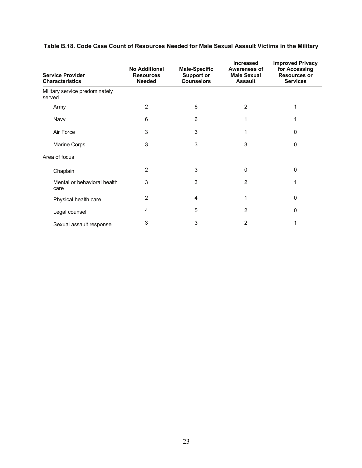| <b>Service Provider</b><br><b>Characteristics</b> | <b>No Additional</b><br><b>Resources</b><br><b>Needed</b> | <b>Male-Specific</b><br><b>Support or</b><br><b>Counselors</b> | <b>Increased</b><br><b>Awareness of</b><br><b>Male Sexual</b><br><b>Assault</b> | <b>Improved Privacy</b><br>for Accessing<br><b>Resources or</b><br><b>Services</b> |
|---------------------------------------------------|-----------------------------------------------------------|----------------------------------------------------------------|---------------------------------------------------------------------------------|------------------------------------------------------------------------------------|
| Military service predominately<br>served          |                                                           |                                                                |                                                                                 |                                                                                    |
| Army                                              | 2                                                         | 6                                                              | 2                                                                               | 1                                                                                  |
| Navy                                              | 6                                                         | 6                                                              | 1                                                                               |                                                                                    |
| Air Force                                         | 3                                                         | 3                                                              | 1                                                                               | $\Omega$                                                                           |
| Marine Corps                                      | 3                                                         | 3                                                              | 3                                                                               | $\Omega$                                                                           |
| Area of focus                                     |                                                           |                                                                |                                                                                 |                                                                                    |
| Chaplain                                          | 2                                                         | 3                                                              | 0                                                                               | $\Omega$                                                                           |
| Mental or behavioral health<br>care               | 3                                                         | 3                                                              | 2                                                                               | 1                                                                                  |
| Physical health care                              | 2                                                         | 4                                                              | 1                                                                               | $\Omega$                                                                           |
| Legal counsel                                     | 4                                                         | 5                                                              | 2                                                                               | $\Omega$                                                                           |
| Sexual assault response                           | 3                                                         | 3                                                              | 2                                                                               | 1                                                                                  |

#### **Table B.18. Code Case Count of Resources Needed for Male Sexual Assault Victims in the Military**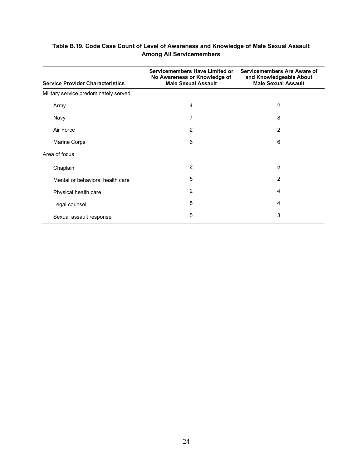| <b>Service Provider Characteristics</b> | Servicemembers Have Limited or<br>No Awareness or Knowledge of<br><b>Male Sexual Assault</b> | Servicemembers Are Aware of<br>and Knowledgeable About<br><b>Male Sexual Assault</b> |
|-----------------------------------------|----------------------------------------------------------------------------------------------|--------------------------------------------------------------------------------------|
| Military service predominately served   |                                                                                              |                                                                                      |
| Army                                    | 4                                                                                            | 2                                                                                    |
| Navy                                    | 7                                                                                            | 8                                                                                    |
| Air Force                               | 2                                                                                            | 2                                                                                    |
| Marine Corps                            | 6                                                                                            | 6                                                                                    |
| Area of focus                           |                                                                                              |                                                                                      |
| Chaplain                                | $\overline{2}$                                                                               | 5                                                                                    |
| Mental or behavioral health care        | 5                                                                                            | 2                                                                                    |
| Physical health care                    | $\overline{2}$                                                                               | 4                                                                                    |
| Legal counsel                           | 5                                                                                            | 4                                                                                    |
| Sexual assault response                 | 5                                                                                            | 3                                                                                    |

#### **Table B.19. Code Case Count of Level of Awareness and Knowledge of Male Sexual Assault Among All Servicemembers**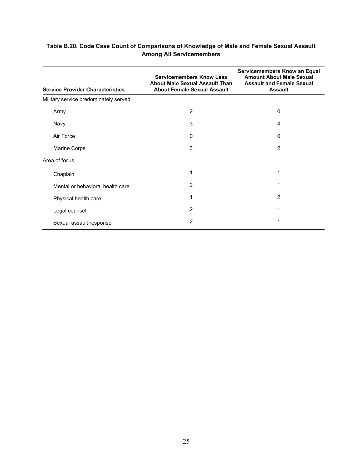| <b>Service Provider Characteristics</b> | Servicemembers Know an Equal<br><b>Amount About Male Sexual</b><br><b>Assault and Female Sexual</b><br><b>Assault</b> |                |
|-----------------------------------------|-----------------------------------------------------------------------------------------------------------------------|----------------|
| Military service predominately served   |                                                                                                                       |                |
| Army                                    | $\overline{2}$                                                                                                        | 0              |
| Navy                                    | 3                                                                                                                     | 4              |
| Air Force                               | $\mathbf 0$                                                                                                           | 0              |
| Marine Corps                            | 3                                                                                                                     | 2              |
| Area of focus                           |                                                                                                                       |                |
| Chaplain                                | 1                                                                                                                     | 1              |
| Mental or behavioral health care        | 2                                                                                                                     | 1              |
| Physical health care                    | 1                                                                                                                     | $\overline{2}$ |
| Legal counsel                           | $\overline{2}$                                                                                                        | 1              |
| Sexual assault response                 | 2                                                                                                                     |                |

#### **Table B.20. Code Case Count of Comparisons of Knowledge of Male and Female Sexual Assault Among All Servicemembers**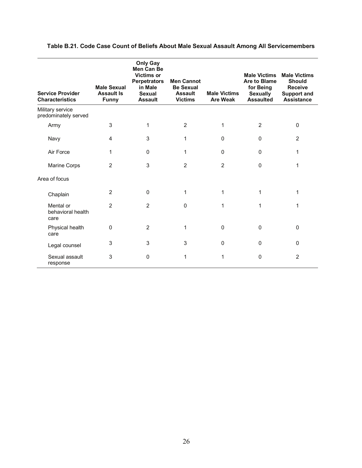| <b>Service Provider</b><br><b>Characteristics</b> | <b>Male Sexual</b><br><b>Assault Is</b><br><b>Funny</b> | <b>Only Gay</b><br>Men Can Be<br><b>Victims or</b><br><b>Perpetrators</b><br>in Male<br><b>Sexual</b><br><b>Assault</b> | <b>Men Cannot</b><br><b>Be Sexual</b><br><b>Assault</b><br><b>Victims</b> | <b>Male Victims</b><br><b>Are Weak</b> | <b>Male Victims</b><br>Are to Blame<br>for Being<br><b>Sexually</b><br><b>Assaulted</b> | <b>Male Victims</b><br><b>Should</b><br><b>Receive</b><br><b>Support and</b><br><b>Assistance</b> |
|---------------------------------------------------|---------------------------------------------------------|-------------------------------------------------------------------------------------------------------------------------|---------------------------------------------------------------------------|----------------------------------------|-----------------------------------------------------------------------------------------|---------------------------------------------------------------------------------------------------|
| Military service<br>predominately served          |                                                         |                                                                                                                         |                                                                           |                                        |                                                                                         |                                                                                                   |
| Army                                              | 3                                                       | 1                                                                                                                       | $\overline{2}$                                                            | 1                                      | $\overline{2}$                                                                          | 0                                                                                                 |
| Navy                                              | 4                                                       | 3                                                                                                                       | 1                                                                         | $\Omega$                               | $\Omega$                                                                                | 2                                                                                                 |
| Air Force                                         | 1                                                       | $\mathbf{0}$                                                                                                            | 1                                                                         | $\mathbf 0$                            | 0                                                                                       | 1                                                                                                 |
| Marine Corps                                      | 2                                                       | 3                                                                                                                       | 2                                                                         | 2                                      | $\Omega$                                                                                | 1                                                                                                 |
| Area of focus                                     |                                                         |                                                                                                                         |                                                                           |                                        |                                                                                         |                                                                                                   |
| Chaplain                                          | $\overline{2}$                                          | $\mathbf 0$                                                                                                             | 1                                                                         | 1                                      | 1                                                                                       | 1                                                                                                 |
| Mental or<br>behavioral health<br>care            | $\overline{2}$                                          | $\overline{2}$                                                                                                          | $\Omega$                                                                  | 1                                      | 1                                                                                       | 1                                                                                                 |
| Physical health<br>care                           | $\mathbf{0}$                                            | 2                                                                                                                       | 1                                                                         | $\pmb{0}$                              | $\mathbf 0$                                                                             | 0                                                                                                 |
| Legal counsel                                     | 3                                                       | 3                                                                                                                       | 3                                                                         | $\Omega$                               | $\Omega$                                                                                | 0                                                                                                 |
| Sexual assault<br>response                        | 3                                                       | $\mathbf{0}$                                                                                                            | 1                                                                         | 1                                      | 0                                                                                       | $\overline{2}$                                                                                    |

#### **Table B.21. Code Case Count of Beliefs About Male Sexual Assault Among All Servicemembers**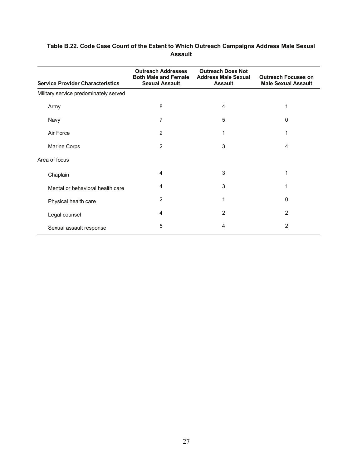| <b>Service Provider Characteristics</b> | <b>Outreach Addresses</b><br><b>Both Male and Female</b><br><b>Sexual Assault</b> | <b>Outreach Does Not</b><br><b>Address Male Sexual</b><br><b>Assault</b> | <b>Outreach Focuses on</b><br><b>Male Sexual Assault</b> |
|-----------------------------------------|-----------------------------------------------------------------------------------|--------------------------------------------------------------------------|----------------------------------------------------------|
| Military service predominately served   |                                                                                   |                                                                          |                                                          |
| Army                                    | 8                                                                                 | 4                                                                        | 1                                                        |
| Navy                                    | $\overline{7}$                                                                    | 5                                                                        | 0                                                        |
| Air Force                               | 2                                                                                 | 1                                                                        | 1                                                        |
| Marine Corps                            | $\overline{2}$                                                                    | 3                                                                        | 4                                                        |
| Area of focus                           |                                                                                   |                                                                          |                                                          |
| Chaplain                                | 4                                                                                 | 3                                                                        | 1                                                        |
| Mental or behavioral health care        | 4                                                                                 | 3                                                                        | 1                                                        |
| Physical health care                    | 2                                                                                 | 1                                                                        | 0                                                        |
| Legal counsel                           | 4                                                                                 | 2                                                                        | 2                                                        |
| Sexual assault response                 | 5                                                                                 | 4                                                                        | 2                                                        |

#### **Table B.22. Code Case Count of the Extent to Which Outreach Campaigns Address Male Sexual Assault**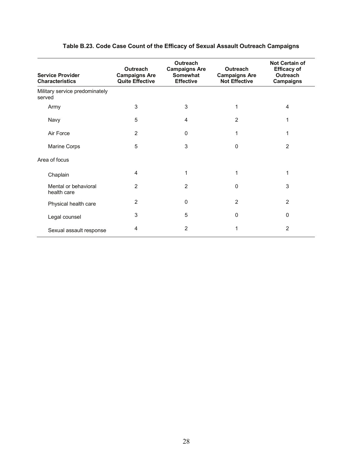| <b>Service Provider</b><br><b>Characteristics</b> | <b>Outreach</b><br><b>Campaigns Are</b><br><b>Quite Effective</b> | Outreach<br><b>Campaigns Are</b><br>Somewhat<br><b>Effective</b> | Outreach<br><b>Campaigns Are</b><br><b>Not Effective</b> | <b>Not Certain of</b><br><b>Efficacy of</b><br>Outreach<br>Campaigns |
|---------------------------------------------------|-------------------------------------------------------------------|------------------------------------------------------------------|----------------------------------------------------------|----------------------------------------------------------------------|
| Military service predominately<br>served          |                                                                   |                                                                  |                                                          |                                                                      |
| Army                                              | 3                                                                 | 3                                                                | 1                                                        | 4                                                                    |
| Navy                                              | 5                                                                 | 4                                                                | 2                                                        |                                                                      |
| Air Force                                         | 2                                                                 | 0                                                                | 1                                                        |                                                                      |
| Marine Corps                                      | 5                                                                 | 3                                                                | 0                                                        | $\overline{2}$                                                       |
| Area of focus                                     |                                                                   |                                                                  |                                                          |                                                                      |
| Chaplain                                          | 4                                                                 | 1                                                                | 1                                                        | 1                                                                    |
| Mental or behavioral<br>health care               | $\overline{2}$                                                    | $\overline{2}$                                                   | $\Omega$                                                 | 3                                                                    |
| Physical health care                              | 2                                                                 | $\Omega$                                                         | 2                                                        | 2                                                                    |
| Legal counsel                                     | 3                                                                 | 5                                                                | $\Omega$                                                 | 0                                                                    |
| Sexual assault response                           | 4                                                                 | 2                                                                | 1                                                        | 2                                                                    |

#### **Table B.23. Code Case Count of the Efficacy of Sexual Assault Outreach Campaigns**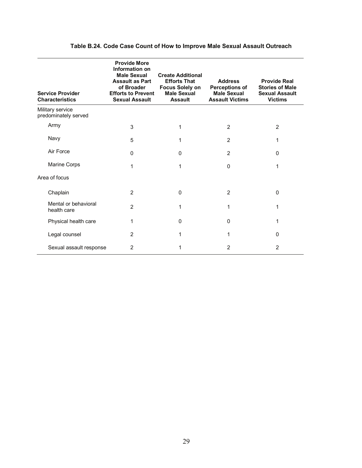| <b>Service Provider</b><br><b>Characteristics</b> | <b>Provide More</b><br>Information on<br><b>Male Sexual</b><br><b>Assault as Part</b><br>of Broader<br><b>Efforts to Prevent</b><br><b>Sexual Assault</b> | <b>Create Additional</b><br><b>Efforts That</b><br><b>Focus Solely on</b><br><b>Male Sexual</b><br><b>Assault</b> | <b>Address</b><br><b>Perceptions of</b><br><b>Male Sexual</b><br><b>Assault Victims</b> | <b>Provide Real</b><br><b>Stories of Male</b><br><b>Sexual Assault</b><br><b>Victims</b> |
|---------------------------------------------------|-----------------------------------------------------------------------------------------------------------------------------------------------------------|-------------------------------------------------------------------------------------------------------------------|-----------------------------------------------------------------------------------------|------------------------------------------------------------------------------------------|
| Military service<br>predominately served          |                                                                                                                                                           |                                                                                                                   |                                                                                         |                                                                                          |
| Army                                              | 3                                                                                                                                                         | 1                                                                                                                 | 2                                                                                       | $\overline{2}$                                                                           |
| Navy                                              | 5                                                                                                                                                         | 1                                                                                                                 | 2                                                                                       | 1                                                                                        |
| Air Force                                         | $\Omega$                                                                                                                                                  | $\Omega$                                                                                                          | 2                                                                                       | $\Omega$                                                                                 |
| Marine Corps                                      | 1                                                                                                                                                         | 1                                                                                                                 | $\Omega$                                                                                | 1                                                                                        |
| Area of focus                                     |                                                                                                                                                           |                                                                                                                   |                                                                                         |                                                                                          |
| Chaplain                                          | 2                                                                                                                                                         | 0                                                                                                                 | 2                                                                                       | 0                                                                                        |
| Mental or behavioral<br>health care               | 2                                                                                                                                                         | 1                                                                                                                 | 1                                                                                       | 1                                                                                        |
| Physical health care                              | 1                                                                                                                                                         | 0                                                                                                                 | $\Omega$                                                                                | 1                                                                                        |
| Legal counsel                                     | 2                                                                                                                                                         | 1                                                                                                                 | 1                                                                                       | $\Omega$                                                                                 |
| Sexual assault response                           | 2                                                                                                                                                         | 1                                                                                                                 | 2                                                                                       | $\overline{2}$                                                                           |

#### **Table B.24. Code Case Count of How to Improve Male Sexual Assault Outreach**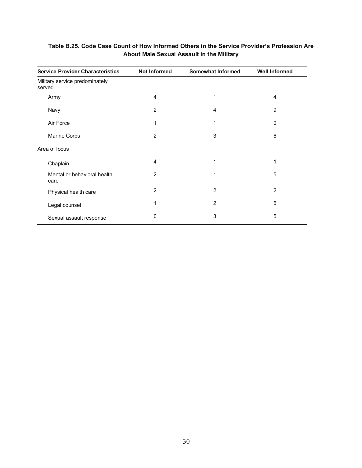| <b>Service Provider Characteristics</b>  | <b>Not Informed</b> | <b>Somewhat Informed</b> | <b>Well Informed</b> |
|------------------------------------------|---------------------|--------------------------|----------------------|
| Military service predominately<br>served |                     |                          |                      |
| Army                                     | 4                   | 1                        | 4                    |
| Navy                                     | 2                   | 4                        | 9                    |
| Air Force                                | 1                   | 1                        | 0                    |
| Marine Corps                             | 2                   | 3                        | 6                    |
| Area of focus                            |                     |                          |                      |
| Chaplain                                 | $\overline{4}$      | 1                        | 1                    |
| Mental or behavioral health<br>care      | 2                   | 1                        | 5                    |
| Physical health care                     | $\overline{2}$      | $\overline{2}$           | $\overline{2}$       |
| Legal counsel                            | 1                   | $\overline{2}$           | 6                    |
| Sexual assault response                  | 0                   | 3                        | 5                    |

#### **Table B.25. Code Case Count of How Informed Others in the Service Provider's Profession Are About Male Sexual Assault in the Military**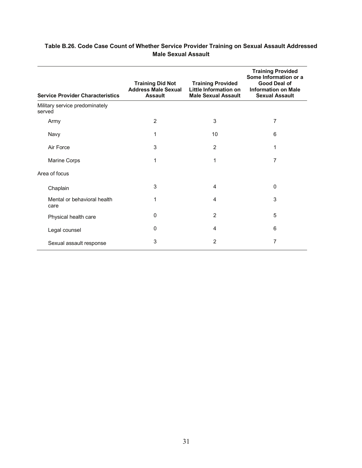| <b>Training Did Not</b><br><b>Address Male Sexual</b><br><b>Service Provider Characteristics</b><br><b>Assault</b> |             | <b>Training Provided</b><br>Little Information on<br><b>Male Sexual Assault</b> | <b>Training Provided</b><br>Some Information or a<br><b>Good Deal of</b><br><b>Information on Male</b><br><b>Sexual Assault</b> |
|--------------------------------------------------------------------------------------------------------------------|-------------|---------------------------------------------------------------------------------|---------------------------------------------------------------------------------------------------------------------------------|
| Military service predominately<br>served                                                                           |             |                                                                                 |                                                                                                                                 |
| Army                                                                                                               | 2           | 3                                                                               | 7                                                                                                                               |
| Navy                                                                                                               | 1           | 10                                                                              | 6                                                                                                                               |
| Air Force                                                                                                          | 3           | 2                                                                               | 1                                                                                                                               |
| Marine Corps                                                                                                       | 1           | 1                                                                               | 7                                                                                                                               |
| Area of focus                                                                                                      |             |                                                                                 |                                                                                                                                 |
| Chaplain                                                                                                           | 3           | 4                                                                               | $\mathbf 0$                                                                                                                     |
| Mental or behavioral health<br>care                                                                                | 1           | 4                                                                               | 3                                                                                                                               |
| Physical health care                                                                                               | $\mathbf 0$ | $\overline{2}$                                                                  | 5                                                                                                                               |
| Legal counsel                                                                                                      | $\Omega$    | 4                                                                               | 6                                                                                                                               |
| Sexual assault response                                                                                            | 3           | 2                                                                               | 7                                                                                                                               |

#### **Table B.26. Code Case Count of Whether Service Provider Training on Sexual Assault Addressed Male Sexual Assault**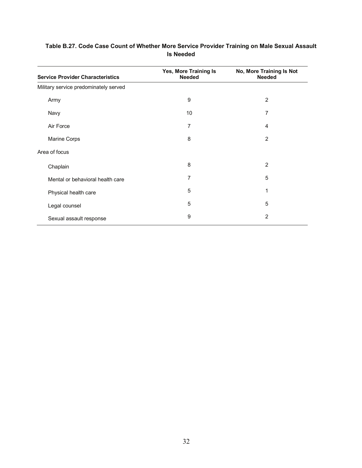| <b>Service Provider Characteristics</b> | Yes, More Training Is<br><b>Needed</b> | No, More Training Is Not<br><b>Needed</b> |
|-----------------------------------------|----------------------------------------|-------------------------------------------|
| Military service predominately served   |                                        |                                           |
| Army                                    | 9                                      | $\overline{c}$                            |
| Navy                                    | 10                                     | 7                                         |
| Air Force                               | 7                                      | 4                                         |
| Marine Corps                            | 8                                      | $\overline{2}$                            |
| Area of focus                           |                                        |                                           |
| Chaplain                                | 8                                      | 2                                         |
| Mental or behavioral health care        | 7                                      | 5                                         |
| Physical health care                    | 5                                      | 1                                         |
| Legal counsel                           | 5                                      | 5                                         |
| Sexual assault response                 | 9                                      | $\overline{2}$                            |

#### **Table B.27. Code Case Count of Whether More Service Provider Training on Male Sexual Assault Is Needed**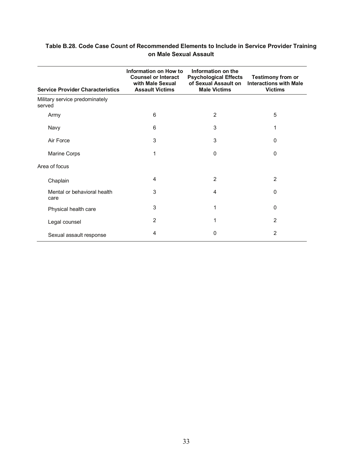| Table B.28. Code Case Count of Recommended Elements to Include in Service Provider Training |  |
|---------------------------------------------------------------------------------------------|--|
| on Male Sexual Assault                                                                      |  |

| <b>Service Provider Characteristics</b>  | Information on How to<br><b>Counsel or Interact</b><br>with Male Sexual<br><b>Assault Victims</b> | Information on the<br><b>Psychological Effects</b><br>of Sexual Assault on<br><b>Male Victims</b> | <b>Testimony from or</b><br><b>Interactions with Male</b><br><b>Victims</b> |
|------------------------------------------|---------------------------------------------------------------------------------------------------|---------------------------------------------------------------------------------------------------|-----------------------------------------------------------------------------|
| Military service predominately<br>served |                                                                                                   |                                                                                                   |                                                                             |
| Army                                     | 6                                                                                                 | $\overline{2}$                                                                                    | 5                                                                           |
| Navy                                     | 6                                                                                                 | 3                                                                                                 | 1                                                                           |
| Air Force                                | 3                                                                                                 | 3                                                                                                 | 0                                                                           |
| Marine Corps                             | 1                                                                                                 | $\Omega$                                                                                          | $\Omega$                                                                    |
| Area of focus                            |                                                                                                   |                                                                                                   |                                                                             |
| Chaplain                                 | 4                                                                                                 | $\overline{2}$                                                                                    | 2                                                                           |
| Mental or behavioral health<br>care      | 3                                                                                                 | 4                                                                                                 | 0                                                                           |
| Physical health care                     | 3                                                                                                 | 1                                                                                                 | $\Omega$                                                                    |
| Legal counsel                            | 2                                                                                                 | 1                                                                                                 | 2                                                                           |
| Sexual assault response                  | 4                                                                                                 | $\Omega$                                                                                          | $\overline{2}$                                                              |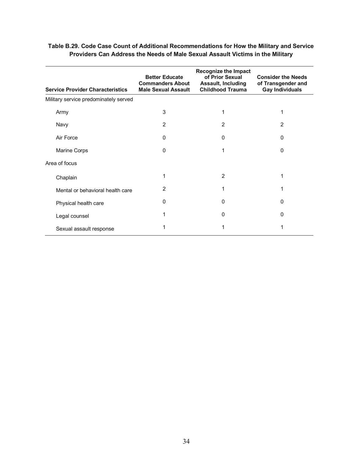| <b>Service Provider Characteristics</b> | <b>Recognize the Impact</b><br>of Prior Sexual<br><b>Better Educate</b><br><b>Commanders About</b><br>Assault, Including<br><b>Childhood Trauma</b><br><b>Male Sexual Assault</b> |   | <b>Consider the Needs</b><br>of Transgender and<br><b>Gay Individuals</b> |  |
|-----------------------------------------|-----------------------------------------------------------------------------------------------------------------------------------------------------------------------------------|---|---------------------------------------------------------------------------|--|
| Military service predominately served   |                                                                                                                                                                                   |   |                                                                           |  |
| Army                                    | 3                                                                                                                                                                                 | 1 |                                                                           |  |
| Navy                                    | 2                                                                                                                                                                                 | 2 | 2                                                                         |  |
| Air Force                               | 0                                                                                                                                                                                 | 0 | 0                                                                         |  |
| Marine Corps                            | 0                                                                                                                                                                                 | 1 | 0                                                                         |  |
| Area of focus                           |                                                                                                                                                                                   |   |                                                                           |  |
| Chaplain                                | 1                                                                                                                                                                                 | 2 | 1                                                                         |  |
| Mental or behavioral health care        | 2                                                                                                                                                                                 | 1 |                                                                           |  |
| Physical health care                    | 0                                                                                                                                                                                 | 0 | 0                                                                         |  |
| Legal counsel                           | 1                                                                                                                                                                                 | 0 | 0                                                                         |  |
| Sexual assault response                 |                                                                                                                                                                                   | 1 |                                                                           |  |

#### **Table B.29. Code Case Count of Additional Recommendations for How the Military and Service Providers Can Address the Needs of Male Sexual Assault Victims in the Military**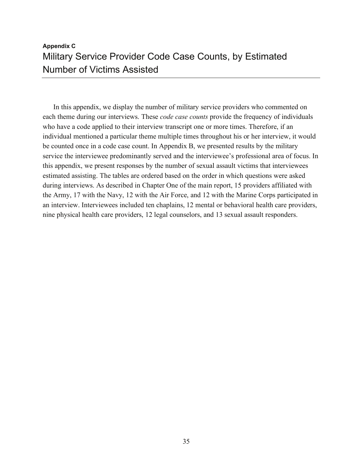## **Appendix C**  Military Service Provider Code Case Counts, by Estimated Number of Victims Assisted

In this appendix, we display the number of military service providers who commented on each theme during our interviews. These *code case counts* provide the frequency of individuals who have a code applied to their interview transcript one or more times. Therefore, if an individual mentioned a particular theme multiple times throughout his or her interview, it would be counted once in a code case count. In Appendix B, we presented results by the military service the interviewee predominantly served and the interviewee's professional area of focus. In this appendix, we present responses by the number of sexual assault victims that interviewees estimated assisting. The tables are ordered based on the order in which questions were asked during interviews. As described in Chapter One of the main report, 15 providers affiliated with the Army, 17 with the Navy, 12 with the Air Force, and 12 with the Marine Corps participated in an interview. Interviewees included ten chaplains, 12 mental or behavioral health care providers, nine physical health care providers, 12 legal counselors, and 13 sexual assault responders.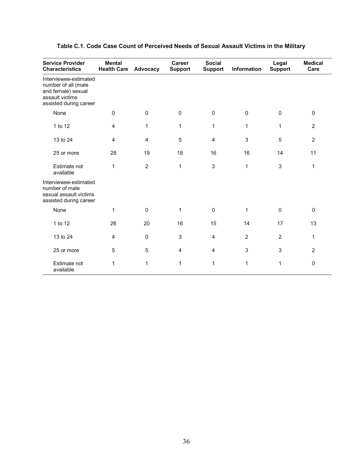| <b>Service Provider</b><br><b>Characteristics</b>                                                               | <b>Mental</b><br><b>Health Care</b> | Advocacy       | <b>Career</b><br><b>Support</b> | <b>Social</b><br><b>Support</b> | Information    | Legal<br><b>Support</b> | <b>Medical</b><br>Care |
|-----------------------------------------------------------------------------------------------------------------|-------------------------------------|----------------|---------------------------------|---------------------------------|----------------|-------------------------|------------------------|
| Interviewee-estimated<br>number of all (male<br>and female) sexual<br>assault victims<br>assisted during career |                                     |                |                                 |                                 |                |                         |                        |
| None                                                                                                            | 0                                   | $\mathbf 0$    | $\Omega$                        | $\mathbf 0$                     | $\mathbf 0$    | $\mathbf{0}$            | $\mathbf 0$            |
| 1 to 12                                                                                                         | 4                                   | 1              | $\mathbf{1}$                    | $\mathbf{1}$                    | 1              | 1                       | $\overline{2}$         |
| 13 to 24                                                                                                        | 4                                   | $\overline{4}$ | 5                               | $\overline{4}$                  | 3              | 5                       | $\overline{2}$         |
| 25 or more                                                                                                      | 28                                  | 19             | 18                              | 16                              | 16             | 14                      | 11                     |
| Estimate not<br>available                                                                                       | 1                                   | $\overline{2}$ | $\mathbf{1}$                    | $\ensuremath{\mathsf{3}}$       | 1              | 3                       | 1                      |
| Interviewee-estimated<br>number of male<br>sexual assault victims<br>assisted during career                     |                                     |                |                                 |                                 |                |                         |                        |
| None                                                                                                            | 1                                   | $\mathbf{0}$   | 1                               | $\mathbf 0$                     | 1              | $\mathbf{0}$            | $\mathbf 0$            |
| 1 to 12                                                                                                         | 26                                  | 20             | 16                              | 15                              | 14             | 17                      | 13                     |
| 13 to 24                                                                                                        | 4                                   | $\pmb{0}$      | 3                               | $\overline{\mathbf{4}}$         | $\overline{2}$ | $\overline{2}$          | 1                      |
| 25 or more                                                                                                      | 5                                   | 5              | 4                               | 4                               | 3              | 3                       | $\overline{2}$         |
| Estimate not<br>available                                                                                       | 1                                   | 1              | 1                               | 1                               | 1              | 1                       | $\mathbf 0$            |

#### **Table C.1. Code Case Count of Perceived Needs of Sexual Assault Victims in the Military**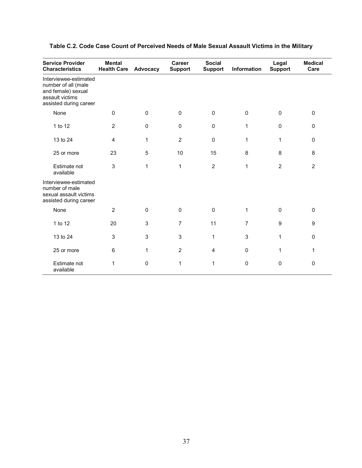| <b>Service Provider</b><br><b>Characteristics</b>                                                               | <b>Mental</b><br><b>Health Care</b> | Advocacy     | <b>Career</b><br><b>Support</b> | <b>Social</b><br><b>Support</b> | Information    | Legal<br><b>Support</b> | <b>Medical</b><br>Care |
|-----------------------------------------------------------------------------------------------------------------|-------------------------------------|--------------|---------------------------------|---------------------------------|----------------|-------------------------|------------------------|
| Interviewee-estimated<br>number of all (male<br>and female) sexual<br>assault victims<br>assisted during career |                                     |              |                                 |                                 |                |                         |                        |
| None                                                                                                            | $\mathbf 0$                         | $\mathbf 0$  | $\mathbf 0$                     | $\mathbf 0$                     | $\mathbf 0$    | $\pmb{0}$               | $\mathbf 0$            |
| 1 to 12                                                                                                         | $\overline{2}$                      | $\mathbf 0$  | $\mathbf{0}$                    | 0                               | $\mathbf{1}$   | $\pmb{0}$               | $\mathbf{0}$           |
| 13 to 24                                                                                                        | $\overline{4}$                      | 1            | $\overline{2}$                  | $\mathbf 0$                     | $\mathbf 1$    | 1                       | $\mathbf{0}$           |
| 25 or more                                                                                                      | 23                                  | 5            | 10                              | 15                              | 8              | 8                       | 8                      |
| Estimate not<br>available                                                                                       | 3                                   | 1            | 1                               | $\overline{c}$                  | $\mathbf{1}$   | $\overline{2}$          | 2                      |
| Interviewee-estimated<br>number of male<br>sexual assault victims<br>assisted during career                     |                                     |              |                                 |                                 |                |                         |                        |
| None                                                                                                            | $\overline{2}$                      | $\mathbf 0$  | $\Omega$                        | $\mathsf 0$                     | $\mathbf{1}$   | $\pmb{0}$               | $\mathbf{0}$           |
| 1 to 12                                                                                                         | 20                                  | 3            | $\overline{7}$                  | 11                              | $\overline{7}$ | $\boldsymbol{9}$        | 9                      |
| 13 to 24                                                                                                        | 3                                   | 3            | 3                               | 1                               | 3              | 1                       | $\Omega$               |
| 25 or more                                                                                                      | 6                                   | $\mathbf{1}$ | 2                               | 4                               | $\Omega$       | $\mathbf{1}$            | 1                      |
| Estimate not<br>available                                                                                       | 1                                   | $\mathbf 0$  | 1                               | 1                               | $\mathbf 0$    | 0                       | $\mathbf 0$            |

#### **Table C.2. Code Case Count of Perceived Needs of Male Sexual Assault Victims in the Military**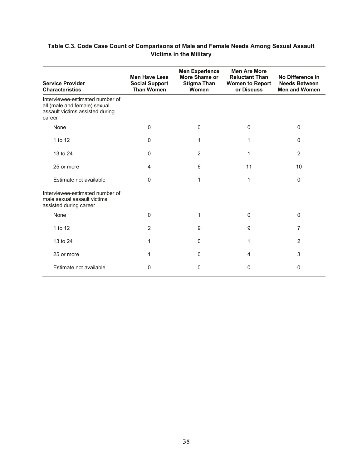| Table C.3. Code Case Count of Comparisons of Male and Female Needs Among Sexual Assault |
|-----------------------------------------------------------------------------------------|
| <b>Victims in the Military</b>                                                          |

| <b>Service Provider</b><br><b>Characteristics</b>                                                            | <b>Men Have Less</b><br><b>Social Support</b><br><b>Than Women</b> | <b>Men Experience</b><br>More Shame or<br><b>Stigma Than</b><br>Women | <b>Men Are More</b><br><b>Reluctant Than</b><br><b>Women to Report</b><br>or Discuss | No Difference in<br><b>Needs Between</b><br><b>Men and Women</b> |
|--------------------------------------------------------------------------------------------------------------|--------------------------------------------------------------------|-----------------------------------------------------------------------|--------------------------------------------------------------------------------------|------------------------------------------------------------------|
| Interviewee-estimated number of<br>all (male and female) sexual<br>assault victims assisted during<br>career |                                                                    |                                                                       |                                                                                      |                                                                  |
| None                                                                                                         | $\mathbf 0$                                                        | $\mathbf{0}$                                                          | 0                                                                                    | $\mathbf{0}$                                                     |
| 1 to 12                                                                                                      | 0                                                                  | 1                                                                     | 1                                                                                    | $\mathbf{0}$                                                     |
| 13 to 24                                                                                                     | 0                                                                  | 2                                                                     | 1                                                                                    | 2                                                                |
| 25 or more                                                                                                   | 4                                                                  | 6                                                                     | 11                                                                                   | 10                                                               |
| Estimate not available                                                                                       | 0                                                                  | 1                                                                     | 1                                                                                    | $\mathbf{0}$                                                     |
| Interviewee-estimated number of<br>male sexual assault victims<br>assisted during career                     |                                                                    |                                                                       |                                                                                      |                                                                  |
| None                                                                                                         | $\mathbf{0}$                                                       | 1                                                                     | 0                                                                                    | $\Omega$                                                         |
| 1 to 12                                                                                                      | 2                                                                  | 9                                                                     | 9                                                                                    | $\overline{7}$                                                   |
| 13 to 24                                                                                                     | 1                                                                  | $\Omega$                                                              | 1                                                                                    | 2                                                                |
| 25 or more                                                                                                   | 1                                                                  | $\Omega$                                                              | 4                                                                                    | 3                                                                |
| Estimate not available                                                                                       | 0                                                                  | 0                                                                     | 0                                                                                    | $\mathbf{0}$                                                     |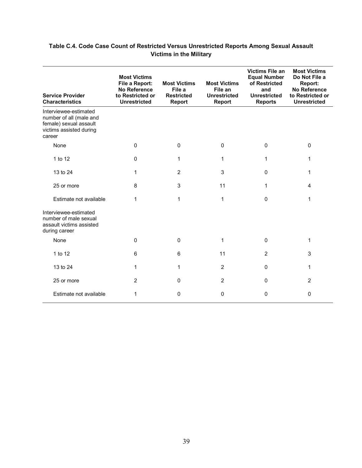#### **Table C.4. Code Case Count of Restricted Versus Unrestricted Reports Among Sexual Assault Victims in the Military**

| <b>Service Provider</b><br><b>Characteristics</b>                                                               | <b>Most Victims</b><br>File a Report:<br><b>No Reference</b><br>to Restricted or<br><b>Unrestricted</b> | <b>Most Victims</b><br>File a<br><b>Restricted</b><br><b>Report</b> | <b>Most Victims</b><br>File an<br><b>Unrestricted</b><br><b>Report</b> | <b>Victims File an</b><br><b>Equal Number</b><br>of Restricted<br>and<br><b>Unrestricted</b><br><b>Reports</b> | <b>Most Victims</b><br>Do Not File a<br><b>Report:</b><br><b>No Reference</b><br>to Restricted or<br><b>Unrestricted</b> |
|-----------------------------------------------------------------------------------------------------------------|---------------------------------------------------------------------------------------------------------|---------------------------------------------------------------------|------------------------------------------------------------------------|----------------------------------------------------------------------------------------------------------------|--------------------------------------------------------------------------------------------------------------------------|
| Interviewee-estimated<br>number of all (male and<br>female) sexual assault<br>victims assisted during<br>career |                                                                                                         |                                                                     |                                                                        |                                                                                                                |                                                                                                                          |
| None                                                                                                            | 0                                                                                                       | $\Omega$                                                            | 0                                                                      | $\mathbf{0}$                                                                                                   | $\mathbf{0}$                                                                                                             |
| 1 to 12                                                                                                         | 0                                                                                                       | 1                                                                   | 1                                                                      | 1                                                                                                              | 1                                                                                                                        |
| 13 to 24                                                                                                        | 1                                                                                                       | $\overline{2}$                                                      | 3                                                                      | 0                                                                                                              | 1                                                                                                                        |
| 25 or more                                                                                                      | 8                                                                                                       | 3                                                                   | 11                                                                     | $\mathbf 1$                                                                                                    | 4                                                                                                                        |
| Estimate not available                                                                                          | 1                                                                                                       | 1                                                                   | 1                                                                      | $\Omega$                                                                                                       | 1                                                                                                                        |
| Interviewee-estimated<br>number of male sexual<br>assault victims assisted<br>during career                     |                                                                                                         |                                                                     |                                                                        |                                                                                                                |                                                                                                                          |
| None                                                                                                            | 0                                                                                                       | $\mathbf 0$                                                         | 1                                                                      | $\Omega$                                                                                                       | 1                                                                                                                        |
| 1 to 12                                                                                                         | 6                                                                                                       | 6                                                                   | 11                                                                     | $\overline{2}$                                                                                                 | 3                                                                                                                        |
| 13 to 24                                                                                                        | 1                                                                                                       | 1                                                                   | $\overline{2}$                                                         | $\Omega$                                                                                                       | 1                                                                                                                        |
| 25 or more                                                                                                      | $\overline{2}$                                                                                          | $\mathbf 0$                                                         | $\overline{2}$                                                         | $\Omega$                                                                                                       | $\overline{2}$                                                                                                           |
| Estimate not available                                                                                          | 1                                                                                                       | 0                                                                   | 0                                                                      | $\Omega$                                                                                                       | 0                                                                                                                        |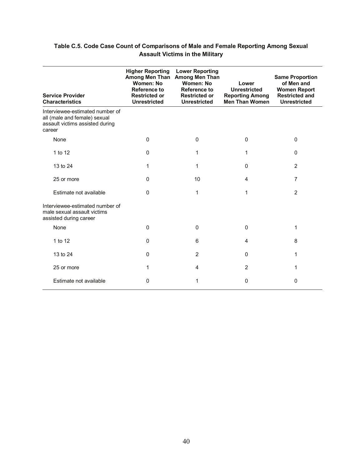| <b>Service Provider</b><br><b>Characteristics</b>                                                            | <b>Higher Reporting</b><br>Among Men Than<br>Women: No<br>Reference to<br><b>Restricted or</b><br><b>Unrestricted</b> | <b>Lower Reporting</b><br><b>Among Men Than</b><br>Women: No<br><b>Reference to</b><br><b>Restricted or</b><br><b>Unrestricted</b> | Lower<br><b>Unrestricted</b><br><b>Reporting Among</b><br><b>Men Than Women</b> | <b>Same Proportion</b><br>of Men and<br><b>Women Report</b><br><b>Restricted and</b><br><b>Unrestricted</b> |
|--------------------------------------------------------------------------------------------------------------|-----------------------------------------------------------------------------------------------------------------------|------------------------------------------------------------------------------------------------------------------------------------|---------------------------------------------------------------------------------|-------------------------------------------------------------------------------------------------------------|
| Interviewee-estimated number of<br>all (male and female) sexual<br>assault victims assisted during<br>career |                                                                                                                       |                                                                                                                                    |                                                                                 |                                                                                                             |
| None                                                                                                         | 0                                                                                                                     | 0                                                                                                                                  | 0                                                                               | $\Omega$                                                                                                    |
| 1 to 12                                                                                                      | $\mathbf 0$                                                                                                           | 1                                                                                                                                  | 1                                                                               | $\Omega$                                                                                                    |
| 13 to 24                                                                                                     | 1                                                                                                                     | 1                                                                                                                                  | $\Omega$                                                                        | 2                                                                                                           |
| 25 or more                                                                                                   | 0                                                                                                                     | 10                                                                                                                                 | $\overline{4}$                                                                  | $\overline{7}$                                                                                              |
| Estimate not available                                                                                       | 0                                                                                                                     | 1                                                                                                                                  | 1                                                                               | $\overline{2}$                                                                                              |
| Interviewee-estimated number of<br>male sexual assault victims<br>assisted during career                     |                                                                                                                       |                                                                                                                                    |                                                                                 |                                                                                                             |
| None                                                                                                         | 0                                                                                                                     | 0                                                                                                                                  | $\mathbf 0$                                                                     | 1                                                                                                           |
| 1 to 12                                                                                                      | $\mathbf 0$                                                                                                           | 6                                                                                                                                  | 4                                                                               | 8                                                                                                           |
| 13 to 24                                                                                                     | $\Omega$                                                                                                              | $\overline{2}$                                                                                                                     | $\Omega$                                                                        | 1                                                                                                           |
| 25 or more                                                                                                   | 1                                                                                                                     | 4                                                                                                                                  | $\overline{2}$                                                                  | 1                                                                                                           |
| Estimate not available                                                                                       | 0                                                                                                                     | 1                                                                                                                                  | $\mathbf 0$                                                                     | 0                                                                                                           |

#### **Table C.5. Code Case Count of Comparisons of Male and Female Reporting Among Sexual Assault Victims in the Military**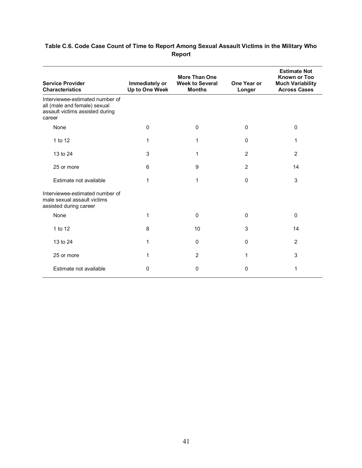| <b>Service Provider</b><br><b>Characteristics</b>                                                            | Immediately or<br>Up to One Week | <b>More Than One</b><br><b>Week to Several</b><br><b>Months</b> | One Year or<br>Longer | <b>Estimate Not</b><br><b>Known or Too</b><br><b>Much Variability</b><br><b>Across Cases</b> |
|--------------------------------------------------------------------------------------------------------------|----------------------------------|-----------------------------------------------------------------|-----------------------|----------------------------------------------------------------------------------------------|
| Interviewee-estimated number of<br>all (male and female) sexual<br>assault victims assisted during<br>career |                                  |                                                                 |                       |                                                                                              |
| None                                                                                                         | 0                                | 0                                                               | $\Omega$              | $\mathbf{0}$                                                                                 |
| 1 to 12                                                                                                      | 1                                | 1                                                               | $\Omega$              | 1                                                                                            |
| 13 to 24                                                                                                     | 3                                | 1                                                               | 2                     | $\overline{2}$                                                                               |
| 25 or more                                                                                                   | 6                                | 9                                                               | $\overline{2}$        | 14                                                                                           |
| Estimate not available                                                                                       | 1                                | 1                                                               | $\Omega$              | 3                                                                                            |
| Interviewee-estimated number of<br>male sexual assault victims<br>assisted during career                     |                                  |                                                                 |                       |                                                                                              |
| None                                                                                                         | 1                                | $\mathbf{0}$                                                    | $\mathbf 0$           | $\Omega$                                                                                     |
| 1 to 12                                                                                                      | 8                                | 10                                                              | 3                     | 14                                                                                           |
| 13 to 24                                                                                                     | 1                                | $\Omega$                                                        | $\Omega$              | 2                                                                                            |
| 25 or more                                                                                                   | 1                                | 2                                                               | 1                     | 3                                                                                            |
| Estimate not available                                                                                       | 0                                | 0                                                               | 0                     | 1                                                                                            |

#### **Table C.6. Code Case Count of Time to Report Among Sexual Assault Victims in the Military Who Report**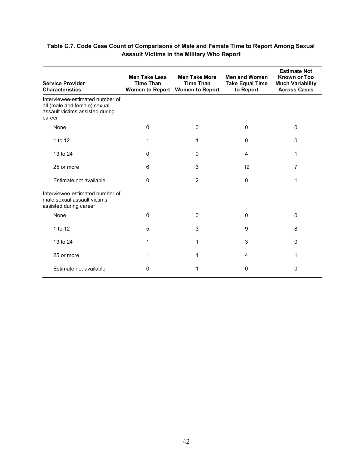| <b>Service Provider</b><br><b>Characteristics</b>                                                            | <b>Men Take Less</b><br><b>Time Than</b> | <b>Men Take More</b><br><b>Time Than</b><br>Women to Report Women to Report | <b>Men and Women</b><br><b>Take Equal Time</b><br>to Report | <b>Estimate Not</b><br><b>Known or Too</b><br><b>Much Variability</b><br><b>Across Cases</b> |
|--------------------------------------------------------------------------------------------------------------|------------------------------------------|-----------------------------------------------------------------------------|-------------------------------------------------------------|----------------------------------------------------------------------------------------------|
| Interviewee-estimated number of<br>all (male and female) sexual<br>assault victims assisted during<br>career |                                          |                                                                             |                                                             |                                                                                              |
| None                                                                                                         | 0                                        | 0                                                                           | $\Omega$                                                    | $\Omega$                                                                                     |
| 1 to 12                                                                                                      | 1                                        | 1                                                                           | $\Omega$                                                    | $\Omega$                                                                                     |
| 13 to 24                                                                                                     | 0                                        | 0                                                                           | 4                                                           | 1                                                                                            |
| 25 or more                                                                                                   | 6                                        | 3                                                                           | 12                                                          | 7                                                                                            |
| Estimate not available                                                                                       | 0                                        | 2                                                                           | $\Omega$                                                    | 1                                                                                            |
| Interviewee-estimated number of<br>male sexual assault victims<br>assisted during career                     |                                          |                                                                             |                                                             |                                                                                              |
| None                                                                                                         | 0                                        | $\mathbf{0}$                                                                | 0                                                           | $\Omega$                                                                                     |
| 1 to 12                                                                                                      | 5                                        | 3                                                                           | 9                                                           | 8                                                                                            |
| 13 to 24                                                                                                     | 1                                        | 1                                                                           | 3                                                           | $\Omega$                                                                                     |
| 25 or more                                                                                                   | 1                                        | 1                                                                           | 4                                                           | 1                                                                                            |
| Estimate not available                                                                                       | 0                                        | 1                                                                           | 0                                                           | $\Omega$                                                                                     |

#### **Table C.7. Code Case Count of Comparisons of Male and Female Time to Report Among Sexual Assault Victims in the Military Who Report**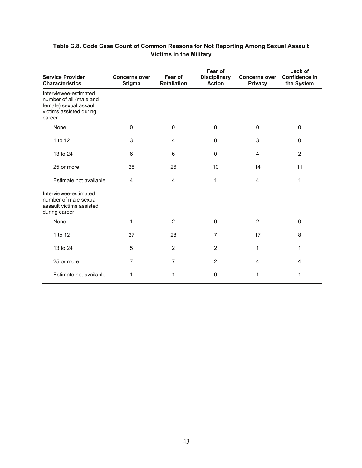| <b>Service Provider</b><br><b>Characteristics</b>                                                               | <b>Concerns over</b><br><b>Stigma</b> | Fear of<br><b>Retaliation</b> | Fear of<br><b>Disciplinary</b><br><b>Action</b> | <b>Concerns over</b><br><b>Privacy</b> | Lack of<br>Confidence in<br>the System |
|-----------------------------------------------------------------------------------------------------------------|---------------------------------------|-------------------------------|-------------------------------------------------|----------------------------------------|----------------------------------------|
| Interviewee-estimated<br>number of all (male and<br>female) sexual assault<br>victims assisted during<br>career |                                       |                               |                                                 |                                        |                                        |
| None                                                                                                            | $\Omega$                              | 0                             | 0                                               | $\mathbf{0}$                           | $\mathbf 0$                            |
| 1 to 12                                                                                                         | 3                                     | 4                             | 0                                               | 3                                      | $\mathbf 0$                            |
| 13 to 24                                                                                                        | 6                                     | 6                             | 0                                               | $\overline{4}$                         | $\overline{2}$                         |
| 25 or more                                                                                                      | 28                                    | 26                            | 10                                              | 14                                     | 11                                     |
| Estimate not available                                                                                          | 4                                     | 4                             | 1                                               | 4                                      | 1                                      |
| Interviewee-estimated<br>number of male sexual<br>assault victims assisted<br>during career                     |                                       |                               |                                                 |                                        |                                        |
| None                                                                                                            | 1                                     | $\overline{2}$                | $\mathbf 0$                                     | $\overline{2}$                         | $\pmb{0}$                              |
| 1 to 12                                                                                                         | 27                                    | 28                            | 7                                               | 17                                     | 8                                      |
| 13 to 24                                                                                                        | 5                                     | 2                             | $\overline{2}$                                  | 1                                      | 1                                      |
| 25 or more                                                                                                      | 7                                     | $\overline{7}$                | $\overline{2}$                                  | 4                                      | 4                                      |
| Estimate not available                                                                                          | 1                                     | 1                             | 0                                               | 1                                      | 1                                      |

#### **Table C.8. Code Case Count of Common Reasons for Not Reporting Among Sexual Assault Victims in the Military**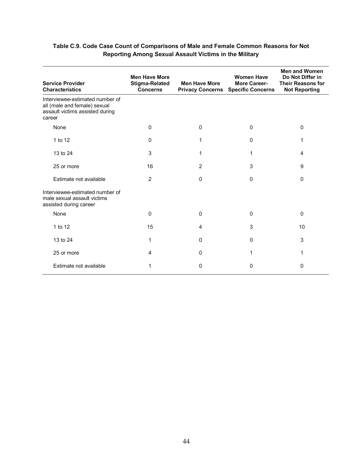| <b>Service Provider</b><br><b>Characteristics</b>                                                            | <b>Men Have More</b><br><b>Stigma-Related</b><br><b>Concerns</b> | <b>Men Have More</b><br><b>Privacy Concerns</b> | <b>Women Have</b><br><b>More Career-</b><br><b>Specific Concerns</b> | <b>Men and Women</b><br>Do Not Differ in<br><b>Their Reasons for</b><br><b>Not Reporting</b> |
|--------------------------------------------------------------------------------------------------------------|------------------------------------------------------------------|-------------------------------------------------|----------------------------------------------------------------------|----------------------------------------------------------------------------------------------|
| Interviewee-estimated number of<br>all (male and female) sexual<br>assault victims assisted during<br>career |                                                                  |                                                 |                                                                      |                                                                                              |
| None                                                                                                         | 0                                                                | $\mathbf 0$                                     | $\Omega$                                                             | 0                                                                                            |
| 1 to 12                                                                                                      | 0                                                                | 1                                               | $\Omega$                                                             | 1                                                                                            |
| 13 to 24                                                                                                     | 3                                                                | 1                                               | 1                                                                    | 4                                                                                            |
| 25 or more                                                                                                   | 16                                                               | $\overline{2}$                                  | 3                                                                    | 9                                                                                            |
| Estimate not available                                                                                       | 2                                                                | $\Omega$                                        | $\mathbf 0$                                                          | $\mathbf{0}$                                                                                 |
| Interviewee-estimated number of<br>male sexual assault victims<br>assisted during career                     |                                                                  |                                                 |                                                                      |                                                                                              |
| None                                                                                                         | 0                                                                | $\mathbf 0$                                     | 0                                                                    | 0                                                                                            |
| 1 to 12                                                                                                      | 15                                                               | 4                                               | 3                                                                    | 10                                                                                           |
| 13 to 24                                                                                                     | 1                                                                | 0                                               | $\mathbf 0$                                                          | 3                                                                                            |
| 25 or more                                                                                                   | 4                                                                | 0                                               | 1                                                                    | 1                                                                                            |
| Estimate not available                                                                                       | 1                                                                | 0                                               | 0                                                                    | 0                                                                                            |

#### **Table C.9. Code Case Count of Comparisons of Male and Female Common Reasons for Not Reporting Among Sexual Assault Victims in the Military**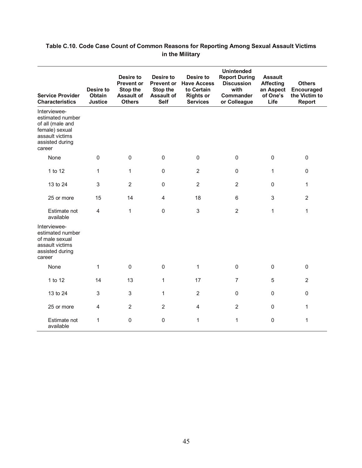#### **Table C.10. Code Case Count of Common Reasons for Reporting Among Sexual Assault Victims in the Military**

|                                                                                                                        | <b>Desire to</b>         | Desire to<br><b>Prevent or</b><br><b>Stop the</b> | Desire to<br><b>Prevent or</b><br>Stop the | Desire to<br><b>Have Access</b><br>to Certain | <b>Unintended</b><br><b>Report During</b><br><b>Discussion</b><br>with | <b>Assault</b><br><b>Affecting</b><br>an Aspect | <b>Others</b><br>Encouraged    |
|------------------------------------------------------------------------------------------------------------------------|--------------------------|---------------------------------------------------|--------------------------------------------|-----------------------------------------------|------------------------------------------------------------------------|-------------------------------------------------|--------------------------------|
| <b>Service Provider</b><br><b>Characteristics</b>                                                                      | Obtain<br><b>Justice</b> | <b>Assault of</b><br><b>Others</b>                | <b>Assault of</b><br><b>Self</b>           | <b>Rights or</b><br><b>Services</b>           | Commander<br>or Colleague                                              | of One's<br>Life                                | the Victim to<br><b>Report</b> |
| Interviewee-<br>estimated number<br>of all (male and<br>female) sexual<br>assault victims<br>assisted during<br>career |                          |                                                   |                                            |                                               |                                                                        |                                                 |                                |
| None                                                                                                                   | $\Omega$                 | 0                                                 | $\mathbf 0$                                | $\mathbf 0$                                   | $\mathbf 0$                                                            | $\mathbf 0$                                     | $\mathbf 0$                    |
| 1 to 12                                                                                                                | $\mathbf{1}$             | $\mathbf{1}$                                      | $\pmb{0}$                                  | $\overline{2}$                                | $\mathbf 0$                                                            | $\mathbf{1}$                                    | $\pmb{0}$                      |
| 13 to 24                                                                                                               | 3                        | $\overline{2}$                                    | $\mathbf 0$                                | $\overline{2}$                                | $\overline{2}$                                                         | $\mathbf 0$                                     | 1                              |
| 25 or more                                                                                                             | 15                       | 14                                                | $\overline{4}$                             | 18                                            | $6\,$                                                                  | 3                                               | $\overline{2}$                 |
| Estimate not<br>available                                                                                              | $\overline{4}$           | $\mathbf{1}$                                      | $\mathbf{0}$                               | 3                                             | $\overline{2}$                                                         | $\mathbf{1}$                                    | $\mathbf{1}$                   |
| Interviewee-<br>estimated number<br>of male sexual<br>assault victims<br>assisted during<br>career                     |                          |                                                   |                                            |                                               |                                                                        |                                                 |                                |
| None                                                                                                                   | $\mathbf{1}$             | 0                                                 | $\mathbf 0$                                | $\mathbf{1}$                                  | $\pmb{0}$                                                              | $\mathbf 0$                                     | $\boldsymbol{0}$               |
| 1 to 12                                                                                                                | 14                       | 13                                                | 1                                          | 17                                            | $\overline{7}$                                                         | 5                                               | $\overline{2}$                 |
| 13 to 24                                                                                                               | 3                        | 3                                                 | $\mathbf{1}$                               | $\overline{2}$                                | $\mathbf 0$                                                            | $\mathbf 0$                                     | $\boldsymbol{0}$               |
| 25 or more                                                                                                             | $\overline{4}$           | $\overline{2}$                                    | $\overline{2}$                             | $\overline{4}$                                | $\overline{2}$                                                         | $\pmb{0}$                                       | $\mathbf{1}$                   |
| Estimate not<br>available                                                                                              | 1                        | 0                                                 | $\pmb{0}$                                  | $\mathbf 1$                                   | $\mathbf{1}$                                                           | 0                                               | $\mathbf{1}$                   |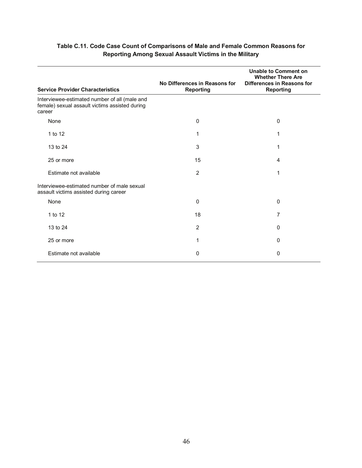| <b>Service Provider Characteristics</b>                                                                   | No Differences in Reasons for<br><b>Reporting</b> | <b>Unable to Comment on</b><br><b>Whether There Are</b><br>Differences in Reasons for<br><b>Reporting</b> |
|-----------------------------------------------------------------------------------------------------------|---------------------------------------------------|-----------------------------------------------------------------------------------------------------------|
| Interviewee-estimated number of all (male and<br>female) sexual assault victims assisted during<br>career |                                                   |                                                                                                           |
| None                                                                                                      | 0                                                 | 0                                                                                                         |
| 1 to 12                                                                                                   | 1                                                 | 1                                                                                                         |
| 13 to 24                                                                                                  | 3                                                 | 1                                                                                                         |
| 25 or more                                                                                                | 15                                                | 4                                                                                                         |
| Estimate not available                                                                                    | 2                                                 | 1                                                                                                         |
| Interviewee-estimated number of male sexual<br>assault victims assisted during career                     |                                                   |                                                                                                           |
| None                                                                                                      | 0                                                 | 0                                                                                                         |
| 1 to 12                                                                                                   | 18                                                | 7                                                                                                         |
| 13 to 24                                                                                                  | $\overline{2}$                                    | 0                                                                                                         |
| 25 or more                                                                                                | 1                                                 | 0                                                                                                         |
| Estimate not available                                                                                    | 0                                                 | 0                                                                                                         |

#### **Table C.11. Code Case Count of Comparisons of Male and Female Common Reasons for Reporting Among Sexual Assault Victims in the Military**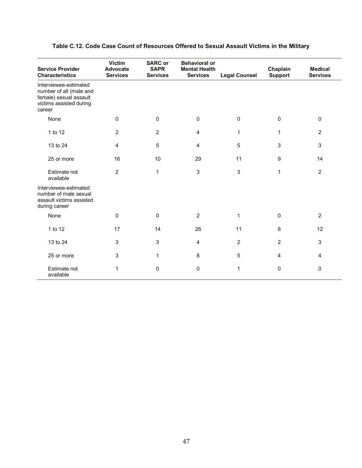| <b>Service Provider</b><br><b>Characteristics</b>                                                               | <b>Victim</b><br><b>Advocate</b><br><b>Services</b> | <b>SARC</b> or<br><b>SAPR</b><br><b>Services</b> | <b>Behavioral or</b><br><b>Mental Health</b><br><b>Services</b> | <b>Legal Counsel</b> | Chaplain<br><b>Support</b> | <b>Medical</b><br><b>Services</b> |
|-----------------------------------------------------------------------------------------------------------------|-----------------------------------------------------|--------------------------------------------------|-----------------------------------------------------------------|----------------------|----------------------------|-----------------------------------|
| Interviewee-estimated<br>number of all (male and<br>female) sexual assault<br>victims assisted during<br>career |                                                     |                                                  |                                                                 |                      |                            |                                   |
| None                                                                                                            | $\Omega$                                            | $\Omega$                                         | $\mathbf{0}$                                                    | $\Omega$             | $\mathbf 0$                | $\mathbf 0$                       |
| 1 to 12                                                                                                         | $\overline{2}$                                      | 2                                                | $\overline{4}$                                                  | 1                    | 1                          | $\overline{2}$                    |
| 13 to 24                                                                                                        | 4                                                   | 5                                                | $\overline{4}$                                                  | 5                    | 3                          | $\mathfrak{S}$                    |
| 25 or more                                                                                                      | 16                                                  | 10                                               | 29                                                              | 11                   | $\boldsymbol{9}$           | 14                                |
| Estimate not<br>available                                                                                       | $\overline{2}$                                      | 1                                                | $\mathbf{3}$                                                    | 3                    | $\mathbf{1}$               | $\overline{2}$                    |
| Interviewee-estimated<br>number of male sexual<br>assault victims assisted<br>during career                     |                                                     |                                                  |                                                                 |                      |                            |                                   |
| None                                                                                                            | $\mathbf 0$                                         | 0                                                | $\overline{2}$                                                  | 1                    | $\pmb{0}$                  | $\overline{c}$                    |
| 1 to 12                                                                                                         | 17                                                  | 14                                               | 26                                                              | 11                   | 8                          | 12                                |
| 13 to 24                                                                                                        | 3                                                   | 3                                                | $\overline{4}$                                                  | $\overline{2}$       | $\overline{2}$             | $\mathfrak{S}$                    |
| 25 or more                                                                                                      | 3                                                   | 1                                                | 8                                                               | 5                    | 4                          | 4                                 |
| Estimate not<br>available                                                                                       | 1                                                   | 0                                                | $\mathbf 0$                                                     | 1                    | $\mathbf 0$                | 0                                 |

#### **Table C.12. Code Case Count of Resources Offered to Sexual Assault Victims in the Military**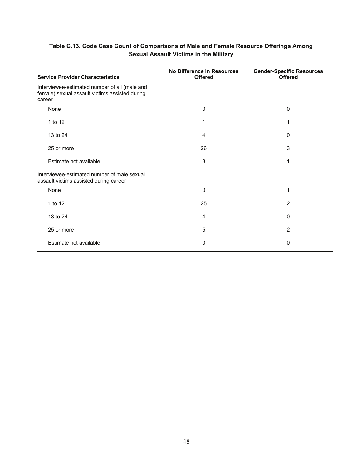| <b>Service Provider Characteristics</b>                                                                   | No Difference in Resources<br><b>Offered</b> | <b>Gender-Specific Resources</b><br><b>Offered</b> |
|-----------------------------------------------------------------------------------------------------------|----------------------------------------------|----------------------------------------------------|
| Interviewee-estimated number of all (male and<br>female) sexual assault victims assisted during<br>career |                                              |                                                    |
| None                                                                                                      | 0                                            | 0                                                  |
| 1 to 12                                                                                                   |                                              |                                                    |
| 13 to 24                                                                                                  | 4                                            | 0                                                  |
| 25 or more                                                                                                | 26                                           | 3                                                  |
| Estimate not available                                                                                    | 3                                            | 1                                                  |
| Interviewee-estimated number of male sexual<br>assault victims assisted during career                     |                                              |                                                    |
| None                                                                                                      | 0                                            | 1                                                  |
| 1 to 12                                                                                                   | 25                                           | 2                                                  |
| 13 to 24                                                                                                  | 4                                            | 0                                                  |
| 25 or more                                                                                                | 5                                            | 2                                                  |
| Estimate not available                                                                                    | 0                                            | 0                                                  |

#### **Table C.13. Code Case Count of Comparisons of Male and Female Resource Offerings Among Sexual Assault Victims in the Military**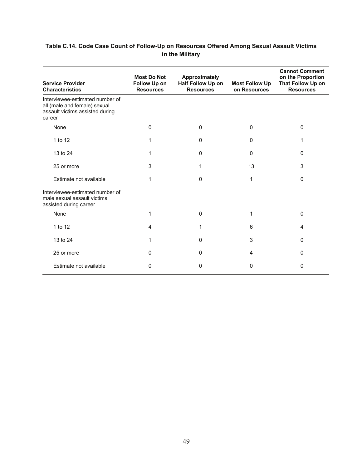#### **Table C.14. Code Case Count of Follow-Up on Resources Offered Among Sexual Assault Victims in the Military**

| <b>Service Provider</b><br><b>Characteristics</b>                                                            | <b>Most Do Not</b><br>Follow Up on<br><b>Resources</b> | <b>Approximately</b><br>Half Follow Up on<br><b>Resources</b> | <b>Most Follow Up</b><br>on Resources | <b>Cannot Comment</b><br>on the Proportion<br>That Follow Up on<br><b>Resources</b> |
|--------------------------------------------------------------------------------------------------------------|--------------------------------------------------------|---------------------------------------------------------------|---------------------------------------|-------------------------------------------------------------------------------------|
| Interviewee-estimated number of<br>all (male and female) sexual<br>assault victims assisted during<br>career |                                                        |                                                               |                                       |                                                                                     |
| None                                                                                                         | 0                                                      | 0                                                             | 0                                     | $\Omega$                                                                            |
| 1 to 12                                                                                                      | 1                                                      | $\Omega$                                                      | $\mathbf{0}$                          | 1                                                                                   |
| 13 to 24                                                                                                     | 1                                                      | $\Omega$                                                      | 0                                     | $\Omega$                                                                            |
| 25 or more                                                                                                   | 3                                                      | 1                                                             | 13                                    | 3                                                                                   |
| Estimate not available                                                                                       | 1                                                      | $\mathbf{0}$                                                  | 1                                     | $\Omega$                                                                            |
| Interviewee-estimated number of<br>male sexual assault victims<br>assisted during career                     |                                                        |                                                               |                                       |                                                                                     |
| None                                                                                                         | 1                                                      | $\Omega$                                                      | 1                                     | $\Omega$                                                                            |
| 1 to 12                                                                                                      | 4                                                      | 1                                                             | 6                                     | $\overline{4}$                                                                      |
| 13 to 24                                                                                                     | 1                                                      | 0                                                             | 3                                     | 0                                                                                   |
| 25 or more                                                                                                   | 0                                                      | $\Omega$                                                      | 4                                     | $\Omega$                                                                            |
| Estimate not available                                                                                       | 0                                                      | 0                                                             | 0                                     | $\mathbf{0}$                                                                        |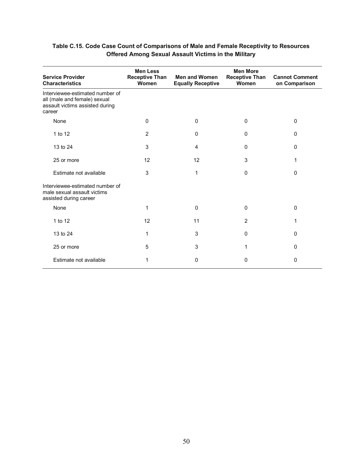| <b>Service Provider</b><br><b>Characteristics</b>                                                            | <b>Men Less</b><br><b>Receptive Than</b><br>Women | <b>Men and Women</b><br><b>Equally Receptive</b> | <b>Men More</b><br><b>Receptive Than</b><br>Women | <b>Cannot Comment</b><br>on Comparison |
|--------------------------------------------------------------------------------------------------------------|---------------------------------------------------|--------------------------------------------------|---------------------------------------------------|----------------------------------------|
| Interviewee-estimated number of<br>all (male and female) sexual<br>assault victims assisted during<br>career |                                                   |                                                  |                                                   |                                        |
| None                                                                                                         | 0                                                 | $\mathbf{0}$                                     | $\mathbf{0}$                                      | $\Omega$                               |
| 1 to 12                                                                                                      | $\overline{2}$                                    | 0                                                | $\mathbf 0$                                       | $\Omega$                               |
| 13 to 24                                                                                                     | 3                                                 | 4                                                | $\mathbf{0}$                                      | 0                                      |
| 25 or more                                                                                                   | 12                                                | 12                                               | 3                                                 | 1                                      |
| Estimate not available                                                                                       | 3                                                 | 1                                                | $\mathbf 0$                                       | $\Omega$                               |
| Interviewee-estimated number of<br>male sexual assault victims<br>assisted during career                     |                                                   |                                                  |                                                   |                                        |
| None                                                                                                         | 1                                                 | $\Omega$                                         | $\Omega$                                          | 0                                      |
| 1 to 12                                                                                                      | 12                                                | 11                                               | $\overline{2}$                                    | 1                                      |
| 13 to 24                                                                                                     | 1                                                 | 3                                                | $\mathbf{0}$                                      | $\Omega$                               |
| 25 or more                                                                                                   | 5                                                 | 3                                                | 1                                                 | $\Omega$                               |
| Estimate not available                                                                                       | 1                                                 | 0                                                | 0                                                 | 0                                      |

#### **Table C.15. Code Case Count of Comparisons of Male and Female Receptivity to Resources Offered Among Sexual Assault Victims in the Military**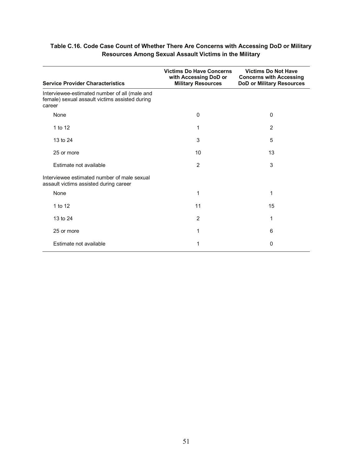| Table C.16. Code Case Count of Whether There Are Concerns with Accessing DoD or Military |
|------------------------------------------------------------------------------------------|
| <b>Resources Among Sexual Assault Victims in the Military</b>                            |

| <b>Service Provider Characteristics</b>                                                                   | <b>Victims Do Have Concerns</b><br>with Accessing DoD or<br><b>Military Resources</b> | <b>Victims Do Not Have</b><br><b>Concerns with Accessing</b><br><b>DoD or Military Resources</b> |
|-----------------------------------------------------------------------------------------------------------|---------------------------------------------------------------------------------------|--------------------------------------------------------------------------------------------------|
| Interviewee-estimated number of all (male and<br>female) sexual assault victims assisted during<br>career |                                                                                       |                                                                                                  |
| None                                                                                                      | $\mathbf 0$                                                                           | 0                                                                                                |
| 1 to 12                                                                                                   | 1                                                                                     | 2                                                                                                |
| 13 to 24                                                                                                  | 3                                                                                     | 5                                                                                                |
| 25 or more                                                                                                | 10                                                                                    | 13                                                                                               |
| Estimate not available                                                                                    | 2                                                                                     | 3                                                                                                |
| Interviewee estimated number of male sexual<br>assault victims assisted during career                     |                                                                                       |                                                                                                  |
| None                                                                                                      | 1                                                                                     | 1                                                                                                |
| 1 to 12                                                                                                   | 11                                                                                    | 15                                                                                               |
| 13 to 24                                                                                                  | 2                                                                                     | 1                                                                                                |
| 25 or more                                                                                                | 1                                                                                     | 6                                                                                                |
| Estimate not available                                                                                    | 1                                                                                     | $\Omega$                                                                                         |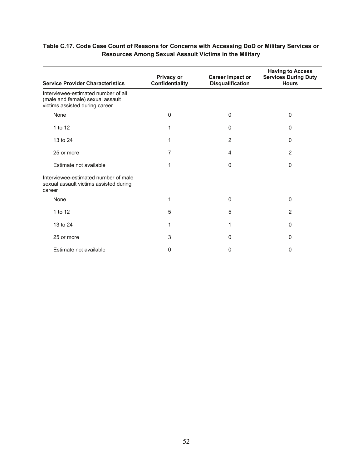| <b>Service Provider Characteristics</b>                                                                   | Privacy or<br><b>Confidentiality</b> | <b>Career Impact or</b><br><b>Disqualification</b> | <b>Having to Access</b><br><b>Services During Duty</b><br><b>Hours</b> |
|-----------------------------------------------------------------------------------------------------------|--------------------------------------|----------------------------------------------------|------------------------------------------------------------------------|
| Interviewee-estimated number of all<br>(male and female) sexual assault<br>victims assisted during career |                                      |                                                    |                                                                        |
| None                                                                                                      | 0                                    | 0                                                  | 0                                                                      |
| 1 to 12                                                                                                   |                                      | 0                                                  | 0                                                                      |
| 13 to 24                                                                                                  |                                      | 2                                                  | $\Omega$                                                               |
| 25 or more                                                                                                | 7                                    | 4                                                  | 2                                                                      |
| Estimate not available                                                                                    |                                      | $\Omega$                                           | $\mathbf{0}$                                                           |
| Interviewee-estimated number of male<br>sexual assault victims assisted during<br>career                  |                                      |                                                    |                                                                        |
| None                                                                                                      | 1                                    | 0                                                  | 0                                                                      |
| 1 to 12                                                                                                   | 5                                    | 5                                                  | $\overline{2}$                                                         |
| 13 to 24                                                                                                  | 1                                    |                                                    | 0                                                                      |
| 25 or more                                                                                                | 3                                    | 0                                                  | 0                                                                      |
| Estimate not available                                                                                    | 0                                    | 0                                                  | 0                                                                      |

#### **Table C.17. Code Case Count of Reasons for Concerns with Accessing DoD or Military Services or Resources Among Sexual Assault Victims in the Military**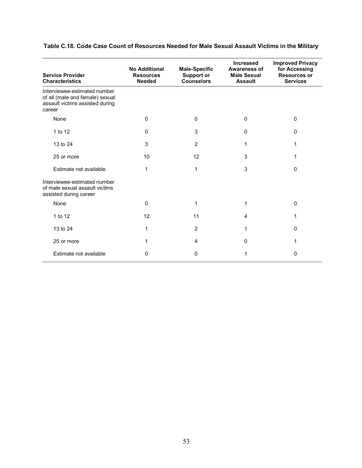| <b>Service Provider</b><br><b>Characteristics</b>                                                            | <b>No Additional</b><br><b>Resources</b><br><b>Needed</b> | <b>Male-Specific</b><br><b>Support or</b><br><b>Counselors</b> | <b>Increased</b><br><b>Awareness of</b><br><b>Male Sexual</b><br><b>Assault</b> | <b>Improved Privacy</b><br>for Accessing<br><b>Resources or</b><br><b>Services</b> |
|--------------------------------------------------------------------------------------------------------------|-----------------------------------------------------------|----------------------------------------------------------------|---------------------------------------------------------------------------------|------------------------------------------------------------------------------------|
| Interviewee-estimated number<br>of all (male and female) sexual<br>assault victims assisted during<br>career |                                                           |                                                                |                                                                                 |                                                                                    |
| None                                                                                                         | 0                                                         | $\Omega$                                                       | 0                                                                               | $\mathbf 0$                                                                        |
| 1 to 12                                                                                                      | 0                                                         | 3                                                              | 0                                                                               | $\Omega$                                                                           |
| 13 to 24                                                                                                     | 3                                                         | $\overline{2}$                                                 | 1                                                                               | 1                                                                                  |
| 25 or more                                                                                                   | 10                                                        | 12                                                             | 3                                                                               | 1                                                                                  |
| Estimate not available                                                                                       | 1                                                         | 1                                                              | 3                                                                               | 0                                                                                  |
| Interviewee-estimated number<br>of male sexual assault victims<br>assisted during career                     |                                                           |                                                                |                                                                                 |                                                                                    |
| None                                                                                                         | 0                                                         | 1                                                              | 1                                                                               | $\Omega$                                                                           |
| 1 to 12                                                                                                      | 12                                                        | 11                                                             | 4                                                                               | 1                                                                                  |
| 13 to 24                                                                                                     | 1                                                         | $\overline{2}$                                                 | 1                                                                               | $\Omega$                                                                           |
| 25 or more                                                                                                   | 1                                                         | 4                                                              | 0                                                                               | 1                                                                                  |
| Estimate not available                                                                                       | 0                                                         | 0                                                              | 1                                                                               | 0                                                                                  |

**Table C.18. Code Case Count of Resources Needed for Male Sexual Assault Victims in the Military**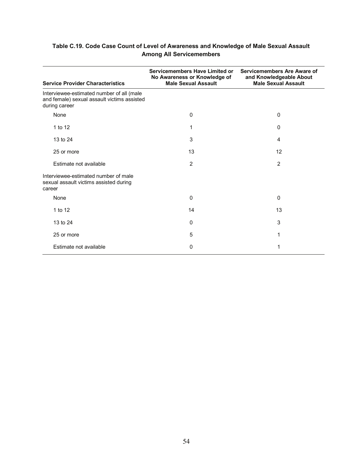#### **Table C.19. Code Case Count of Level of Awareness and Knowledge of Male Sexual Assault Among All Servicemembers**

| <b>Service Provider Characteristics</b>                                                                   | Servicemembers Have Limited or<br>No Awareness or Knowledge of<br><b>Male Sexual Assault</b> | Servicemembers Are Aware of<br>and Knowledgeable About<br><b>Male Sexual Assault</b> |
|-----------------------------------------------------------------------------------------------------------|----------------------------------------------------------------------------------------------|--------------------------------------------------------------------------------------|
| Interviewee-estimated number of all (male<br>and female) sexual assault victims assisted<br>during career |                                                                                              |                                                                                      |
| None                                                                                                      | $\Omega$                                                                                     | 0                                                                                    |
| 1 to 12                                                                                                   | 1                                                                                            | 0                                                                                    |
| 13 to 24                                                                                                  | 3                                                                                            | 4                                                                                    |
| 25 or more                                                                                                | 13                                                                                           | 12                                                                                   |
| Estimate not available                                                                                    | $\overline{2}$                                                                               | $\overline{2}$                                                                       |
| Interviewee-estimated number of male<br>sexual assault victims assisted during<br>career                  |                                                                                              |                                                                                      |
| None                                                                                                      | 0                                                                                            | 0                                                                                    |
| 1 to 12                                                                                                   | 14                                                                                           | 13                                                                                   |
| 13 to 24                                                                                                  | 0                                                                                            | 3                                                                                    |
| 25 or more                                                                                                | 5                                                                                            | 1                                                                                    |
| Estimate not available                                                                                    | 0                                                                                            |                                                                                      |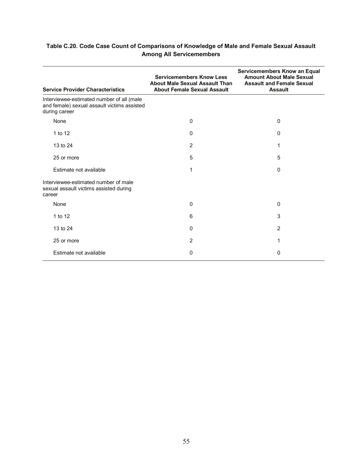| <b>Service Provider Characteristics</b>                                                                   | <b>Servicemembers Know Less</b><br><b>About Male Sexual Assault Than</b><br><b>About Female Sexual Assault</b> | Servicemembers Know an Equal<br><b>Amount About Male Sexual</b><br><b>Assault and Female Sexual</b><br><b>Assault</b> |
|-----------------------------------------------------------------------------------------------------------|----------------------------------------------------------------------------------------------------------------|-----------------------------------------------------------------------------------------------------------------------|
| Interviewee-estimated number of all (male<br>and female) sexual assault victims assisted<br>during career |                                                                                                                |                                                                                                                       |
| None                                                                                                      | $\Omega$                                                                                                       | 0                                                                                                                     |
| 1 to 12                                                                                                   | 0                                                                                                              | 0                                                                                                                     |
| 13 to 24                                                                                                  | $\overline{2}$                                                                                                 | 1                                                                                                                     |
| 25 or more                                                                                                | 5                                                                                                              | 5                                                                                                                     |
| Estimate not available                                                                                    | 1                                                                                                              | 0                                                                                                                     |
| Interviewee-estimated number of male<br>sexual assault victims assisted during<br>career                  |                                                                                                                |                                                                                                                       |
| None                                                                                                      | $\Omega$                                                                                                       | 0                                                                                                                     |
| 1 to 12                                                                                                   | 6                                                                                                              | 3                                                                                                                     |
| 13 to 24                                                                                                  | $\Omega$                                                                                                       | $\overline{2}$                                                                                                        |
| 25 or more                                                                                                | $\overline{2}$                                                                                                 | 1                                                                                                                     |
| Estimate not available                                                                                    | 0                                                                                                              | 0                                                                                                                     |

#### **Table C.20. Code Case Count of Comparisons of Knowledge of Male and Female Sexual Assault Among All Servicemembers**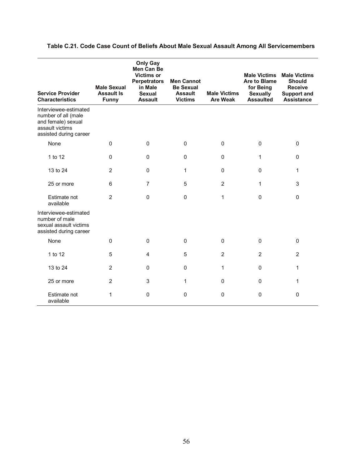| <b>Service Provider</b><br><b>Characteristics</b>                                                               | <b>Male Sexual</b><br><b>Assault Is</b><br><b>Funny</b> | <b>Only Gay</b><br><b>Men Can Be</b><br><b>Victims or</b><br><b>Perpetrators</b><br>in Male<br><b>Sexual</b><br><b>Assault</b> | <b>Men Cannot</b><br><b>Be Sexual</b><br><b>Assault</b><br><b>Victims</b> | <b>Male Victims</b><br><b>Are Weak</b> | <b>Male Victims</b><br><b>Are to Blame</b><br>for Being<br><b>Sexually</b><br><b>Assaulted</b> | <b>Male Victims</b><br><b>Should</b><br><b>Receive</b><br><b>Support and</b><br><b>Assistance</b> |
|-----------------------------------------------------------------------------------------------------------------|---------------------------------------------------------|--------------------------------------------------------------------------------------------------------------------------------|---------------------------------------------------------------------------|----------------------------------------|------------------------------------------------------------------------------------------------|---------------------------------------------------------------------------------------------------|
| Interviewee-estimated<br>number of all (male<br>and female) sexual<br>assault victims<br>assisted during career |                                                         |                                                                                                                                |                                                                           |                                        |                                                                                                |                                                                                                   |
| None                                                                                                            | $\mathbf 0$                                             | $\pmb{0}$                                                                                                                      | $\pmb{0}$                                                                 | $\mathsf 0$                            | 0                                                                                              | 0                                                                                                 |
| 1 to 12                                                                                                         | $\mathbf{0}$                                            | $\pmb{0}$                                                                                                                      | $\pmb{0}$                                                                 | 0                                      | 1                                                                                              | 0                                                                                                 |
| 13 to 24                                                                                                        | 2                                                       | $\Omega$                                                                                                                       | 1                                                                         | 0                                      | 0                                                                                              | 1                                                                                                 |
| 25 or more                                                                                                      | 6                                                       | $\overline{7}$                                                                                                                 | 5                                                                         | $\overline{2}$                         | 1                                                                                              | 3                                                                                                 |
| Estimate not<br>available                                                                                       | $\overline{2}$                                          | $\mathbf 0$                                                                                                                    | $\mathbf 0$                                                               | $\mathbf{1}$                           | 0                                                                                              | 0                                                                                                 |
| Interviewee-estimated<br>number of male<br>sexual assault victims<br>assisted during career                     |                                                         |                                                                                                                                |                                                                           |                                        |                                                                                                |                                                                                                   |
| None                                                                                                            | $\mathbf{0}$                                            | $\Omega$                                                                                                                       | $\Omega$                                                                  | $\Omega$                               | $\Omega$                                                                                       | $\Omega$                                                                                          |
| 1 to 12                                                                                                         | 5                                                       | $\overline{4}$                                                                                                                 | 5                                                                         | $\overline{2}$                         | $\overline{2}$                                                                                 | $\overline{2}$                                                                                    |
| 13 to 24                                                                                                        | $\overline{2}$                                          | $\Omega$                                                                                                                       | $\Omega$                                                                  | $\mathbf{1}$                           | 0                                                                                              | 1                                                                                                 |
| 25 or more                                                                                                      | 2                                                       | 3                                                                                                                              | 1                                                                         | $\Omega$                               | $\Omega$                                                                                       | 1                                                                                                 |
| Estimate not<br>available                                                                                       | 1                                                       | $\mathbf{0}$                                                                                                                   | $\mathbf{0}$                                                              | $\pmb{0}$                              | 0                                                                                              | 0                                                                                                 |

#### **Table C.21. Code Case Count of Beliefs About Male Sexual Assault Among All Servicemembers**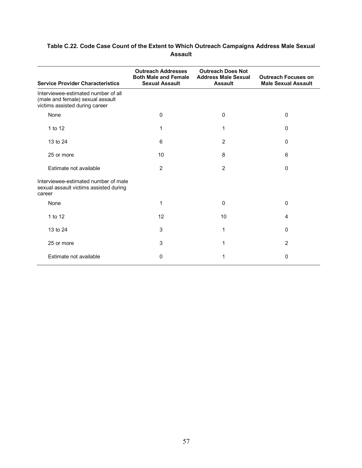#### **Table C.22. Code Case Count of the Extent to Which Outreach Campaigns Address Male Sexual Assault**

| <b>Service Provider Characteristics</b>                                                                   | <b>Outreach Addresses</b><br><b>Both Male and Female</b><br><b>Sexual Assault</b> | <b>Outreach Does Not</b><br><b>Address Male Sexual</b><br><b>Assault</b> | <b>Outreach Focuses on</b><br><b>Male Sexual Assault</b> |
|-----------------------------------------------------------------------------------------------------------|-----------------------------------------------------------------------------------|--------------------------------------------------------------------------|----------------------------------------------------------|
| Interviewee-estimated number of all<br>(male and female) sexual assault<br>victims assisted during career |                                                                                   |                                                                          |                                                          |
| None                                                                                                      | $\Omega$                                                                          | $\Omega$                                                                 | $\mathbf{0}$                                             |
| 1 to 12                                                                                                   | 1                                                                                 | 1                                                                        | $\Omega$                                                 |
| 13 to 24                                                                                                  | 6                                                                                 | $\overline{2}$                                                           | $\Omega$                                                 |
| 25 or more                                                                                                | 10                                                                                | 8                                                                        | 6                                                        |
| Estimate not available                                                                                    | 2                                                                                 | $\overline{2}$                                                           | $\Omega$                                                 |
| Interviewee-estimated number of male<br>sexual assault victims assisted during<br>career                  |                                                                                   |                                                                          |                                                          |
| None                                                                                                      | 1                                                                                 | $\Omega$                                                                 | $\Omega$                                                 |
| 1 to 12                                                                                                   | 12                                                                                | 10                                                                       | 4                                                        |
| 13 to 24                                                                                                  | 3                                                                                 | 1                                                                        | $\Omega$                                                 |
| 25 or more                                                                                                | 3                                                                                 | 1                                                                        | 2                                                        |
| Estimate not available                                                                                    | 0                                                                                 |                                                                          | $\Omega$                                                 |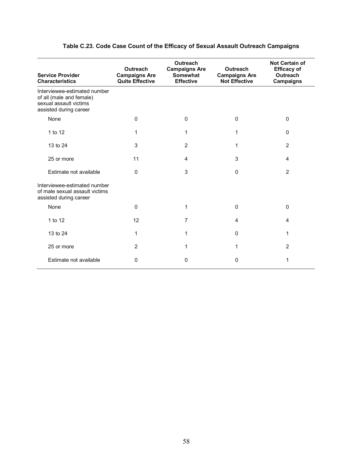| <b>Service Provider</b><br><b>Characteristics</b>                                                            | <b>Outreach</b><br><b>Campaigns Are</b><br><b>Quite Effective</b> | <b>Outreach</b><br><b>Campaigns Are</b><br><b>Somewhat</b><br><b>Effective</b> | <b>Outreach</b><br><b>Campaigns Are</b><br><b>Not Effective</b> | <b>Not Certain of</b><br><b>Efficacy of</b><br><b>Outreach</b><br><b>Campaigns</b> |
|--------------------------------------------------------------------------------------------------------------|-------------------------------------------------------------------|--------------------------------------------------------------------------------|-----------------------------------------------------------------|------------------------------------------------------------------------------------|
| Interviewee-estimated number<br>of all (male and female)<br>sexual assault victims<br>assisted during career |                                                                   |                                                                                |                                                                 |                                                                                    |
| None                                                                                                         | 0                                                                 | 0                                                                              | $\Omega$                                                        | $\Omega$                                                                           |
| 1 to 12                                                                                                      | 1                                                                 | 1                                                                              | 1                                                               | $\Omega$                                                                           |
| 13 to 24                                                                                                     | 3                                                                 | $\overline{2}$                                                                 | 1                                                               | $\overline{2}$                                                                     |
| 25 or more                                                                                                   | 11                                                                | 4                                                                              | 3                                                               | $\overline{4}$                                                                     |
| Estimate not available                                                                                       | $\Omega$                                                          | 3                                                                              | $\Omega$                                                        | $\overline{2}$                                                                     |
| Interviewee-estimated number<br>of male sexual assault victims<br>assisted during career                     |                                                                   |                                                                                |                                                                 |                                                                                    |
| None                                                                                                         | $\Omega$                                                          | 1                                                                              | $\Omega$                                                        | $\mathbf{0}$                                                                       |
| 1 to 12                                                                                                      | 12                                                                | 7                                                                              | 4                                                               | 4                                                                                  |
| 13 to 24                                                                                                     | 1                                                                 | 1                                                                              | $\Omega$                                                        | 1                                                                                  |
| 25 or more                                                                                                   | 2                                                                 | 1                                                                              | 1                                                               | $\overline{2}$                                                                     |
| Estimate not available                                                                                       | 0                                                                 | 0                                                                              | 0                                                               | 1                                                                                  |

#### **Table C.23. Code Case Count of the Efficacy of Sexual Assault Outreach Campaigns**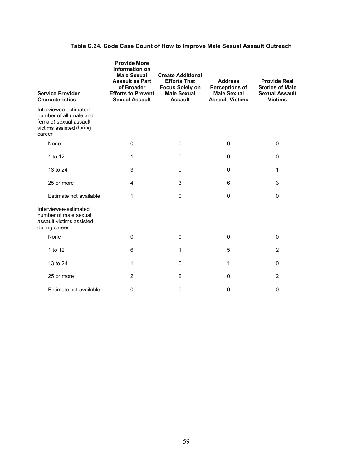| <b>Service Provider</b><br><b>Characteristics</b>                                                               | <b>Provide More</b><br>Information on<br><b>Male Sexual</b><br><b>Assault as Part</b><br>of Broader<br><b>Efforts to Prevent</b><br><b>Sexual Assault</b> | <b>Create Additional</b><br><b>Efforts That</b><br><b>Focus Solely on</b><br><b>Male Sexual</b><br><b>Assault</b> | <b>Address</b><br><b>Perceptions of</b><br><b>Male Sexual</b><br><b>Assault Victims</b> | <b>Provide Real</b><br><b>Stories of Male</b><br><b>Sexual Assault</b><br><b>Victims</b> |
|-----------------------------------------------------------------------------------------------------------------|-----------------------------------------------------------------------------------------------------------------------------------------------------------|-------------------------------------------------------------------------------------------------------------------|-----------------------------------------------------------------------------------------|------------------------------------------------------------------------------------------|
| Interviewee-estimated<br>number of all (male and<br>female) sexual assault<br>victims assisted during<br>career |                                                                                                                                                           |                                                                                                                   |                                                                                         |                                                                                          |
| None                                                                                                            | $\mathbf 0$                                                                                                                                               | 0                                                                                                                 | $\mathbf{0}$                                                                            | 0                                                                                        |
| 1 to 12                                                                                                         | 1                                                                                                                                                         | 0                                                                                                                 | $\mathbf{0}$                                                                            | 0                                                                                        |
| 13 to 24                                                                                                        | 3                                                                                                                                                         | $\Omega$                                                                                                          | $\Omega$                                                                                | 1                                                                                        |
| 25 or more                                                                                                      | 4                                                                                                                                                         | 3                                                                                                                 | 6                                                                                       | 3                                                                                        |
| Estimate not available                                                                                          | 1                                                                                                                                                         | 0                                                                                                                 | $\mathbf{0}$                                                                            | 0                                                                                        |
| Interviewee-estimated<br>number of male sexual<br>assault victims assisted<br>during career                     |                                                                                                                                                           |                                                                                                                   |                                                                                         |                                                                                          |
| None                                                                                                            | $\pmb{0}$                                                                                                                                                 | $\mathbf 0$                                                                                                       | 0                                                                                       | 0                                                                                        |
| 1 to 12                                                                                                         | 6                                                                                                                                                         | 1                                                                                                                 | 5                                                                                       | $\overline{2}$                                                                           |
| 13 to 24                                                                                                        | 1                                                                                                                                                         | $\mathbf 0$                                                                                                       | 1                                                                                       | 0                                                                                        |
| 25 or more                                                                                                      | $\overline{2}$                                                                                                                                            | $\overline{2}$                                                                                                    | $\mathbf{0}$                                                                            | $\overline{2}$                                                                           |
| Estimate not available                                                                                          | 0                                                                                                                                                         | 0                                                                                                                 | $\Omega$                                                                                | 0                                                                                        |

#### **Table C.24. Code Case Count of How to Improve Male Sexual Assault Outreach**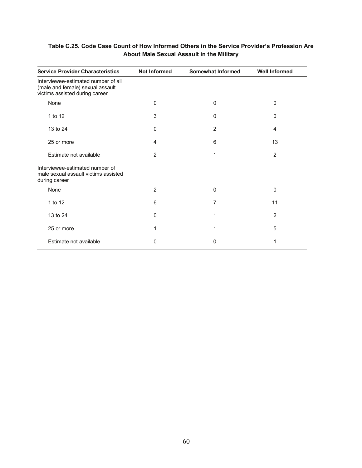| <b>Service Provider Characteristics</b>                                                                   | <b>Not Informed</b> | <b>Somewhat Informed</b> | <b>Well Informed</b> |
|-----------------------------------------------------------------------------------------------------------|---------------------|--------------------------|----------------------|
| Interviewee-estimated number of all<br>(male and female) sexual assault<br>victims assisted during career |                     |                          |                      |
| None                                                                                                      | $\Omega$            | 0                        | 0                    |
| 1 to 12                                                                                                   | 3                   | 0                        | $\Omega$             |
| 13 to 24                                                                                                  | $\Omega$            | $\overline{2}$           | 4                    |
| 25 or more                                                                                                | 4                   | 6                        | 13                   |
| Estimate not available                                                                                    | 2                   | 1                        | 2                    |
| Interviewee-estimated number of<br>male sexual assault victims assisted<br>during career                  |                     |                          |                      |
| None                                                                                                      | $\overline{2}$      | 0                        | $\Omega$             |
| 1 to 12                                                                                                   | 6                   | 7                        | 11                   |
| 13 to 24                                                                                                  | 0                   | 1                        | $\overline{2}$       |
| 25 or more                                                                                                | 1                   | 1                        | 5                    |
| Estimate not available                                                                                    | 0                   | 0                        | 1                    |

#### **Table C.25. Code Case Count of How Informed Others in the Service Provider's Profession Are About Male Sexual Assault in the Military**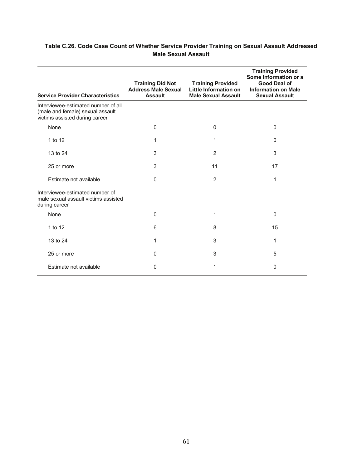| <b>Service Provider Characteristics</b>                                                                   | <b>Training Did Not</b><br><b>Address Male Sexual</b><br><b>Assault</b> | <b>Training Provided</b><br>Little Information on<br><b>Male Sexual Assault</b> | <b>Training Provided</b><br>Some Information or a<br>Good Deal of<br><b>Information on Male</b><br><b>Sexual Assault</b> |
|-----------------------------------------------------------------------------------------------------------|-------------------------------------------------------------------------|---------------------------------------------------------------------------------|--------------------------------------------------------------------------------------------------------------------------|
| Interviewee-estimated number of all<br>(male and female) sexual assault<br>victims assisted during career |                                                                         |                                                                                 |                                                                                                                          |
| None                                                                                                      | $\Omega$                                                                | $\mathbf{0}$                                                                    | $\Omega$                                                                                                                 |
| 1 to 12                                                                                                   | 1                                                                       | 1                                                                               | $\Omega$                                                                                                                 |
| 13 to 24                                                                                                  | 3                                                                       | $\overline{2}$                                                                  | 3                                                                                                                        |
| 25 or more                                                                                                | 3                                                                       | 11                                                                              | 17                                                                                                                       |
| Estimate not available                                                                                    | $\Omega$                                                                | $\overline{2}$                                                                  | 1                                                                                                                        |
| Interviewee-estimated number of<br>male sexual assault victims assisted<br>during career                  |                                                                         |                                                                                 |                                                                                                                          |
| None                                                                                                      | 0                                                                       | 1                                                                               | $\Omega$                                                                                                                 |
| 1 to 12                                                                                                   | 6                                                                       | 8                                                                               | 15                                                                                                                       |
| 13 to 24                                                                                                  | 1                                                                       | 3                                                                               | 1                                                                                                                        |
| 25 or more                                                                                                | 0                                                                       | 3                                                                               | 5                                                                                                                        |
| Estimate not available                                                                                    | 0                                                                       | 1                                                                               | 0                                                                                                                        |

#### **Table C.26. Code Case Count of Whether Service Provider Training on Sexual Assault Addressed Male Sexual Assault**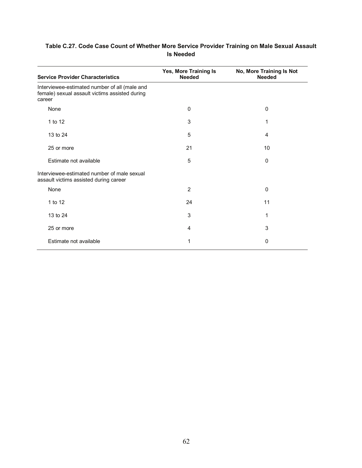| Table C.27. Code Case Count of Whether More Service Provider Training on Male Sexual Assault |  |
|----------------------------------------------------------------------------------------------|--|
| <b>Is Needed</b>                                                                             |  |

| <b>Service Provider Characteristics</b>                                                                   | Yes, More Training Is<br><b>Needed</b> | No, More Training Is Not<br><b>Needed</b> |
|-----------------------------------------------------------------------------------------------------------|----------------------------------------|-------------------------------------------|
| Interviewee-estimated number of all (male and<br>female) sexual assault victims assisted during<br>career |                                        |                                           |
| None                                                                                                      | 0                                      | 0                                         |
| 1 to 12                                                                                                   | 3                                      | 1                                         |
| 13 to 24                                                                                                  | 5                                      | 4                                         |
| 25 or more                                                                                                | 21                                     | 10                                        |
| Estimate not available                                                                                    | 5                                      | 0                                         |
| Interviewee-estimated number of male sexual<br>assault victims assisted during career                     |                                        |                                           |
| None                                                                                                      | $\overline{2}$                         | 0                                         |
| 1 to 12                                                                                                   | 24                                     | 11                                        |
| 13 to 24                                                                                                  | 3                                      | 1                                         |
| 25 or more                                                                                                | 4                                      | 3                                         |
| Estimate not available                                                                                    | 1                                      | 0                                         |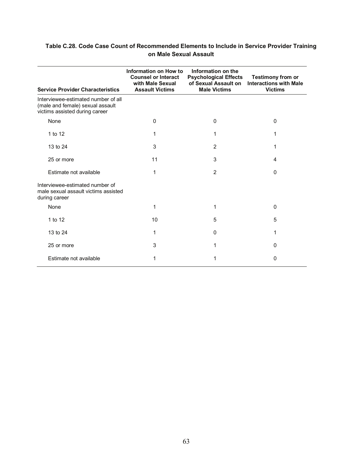#### **Table C.28. Code Case Count of Recommended Elements to Include in Service Provider Training on Male Sexual Assault**

| <b>Service Provider Characteristics</b>                                                                   | Information on How to<br><b>Counsel or Interact</b><br>with Male Sexual<br><b>Assault Victims</b> | Information on the<br><b>Psychological Effects</b><br>of Sexual Assault on<br><b>Male Victims</b> | <b>Testimony from or</b><br><b>Interactions with Male</b><br><b>Victims</b> |
|-----------------------------------------------------------------------------------------------------------|---------------------------------------------------------------------------------------------------|---------------------------------------------------------------------------------------------------|-----------------------------------------------------------------------------|
| Interviewee-estimated number of all<br>(male and female) sexual assault<br>victims assisted during career |                                                                                                   |                                                                                                   |                                                                             |
| None                                                                                                      | 0                                                                                                 | $\Omega$                                                                                          | $\mathbf{0}$                                                                |
| 1 to 12                                                                                                   | 1                                                                                                 | 1                                                                                                 |                                                                             |
| 13 to 24                                                                                                  | 3                                                                                                 | $\overline{2}$                                                                                    |                                                                             |
| 25 or more                                                                                                | 11                                                                                                | 3                                                                                                 | 4                                                                           |
| Estimate not available                                                                                    | 1                                                                                                 | $\overline{2}$                                                                                    | $\Omega$                                                                    |
| Interviewee-estimated number of<br>male sexual assault victims assisted<br>during career                  |                                                                                                   |                                                                                                   |                                                                             |
| None                                                                                                      | 1                                                                                                 | 1                                                                                                 | $\Omega$                                                                    |
| 1 to 12                                                                                                   | 10                                                                                                | 5                                                                                                 | 5                                                                           |
| 13 to 24                                                                                                  | 1                                                                                                 | 0                                                                                                 |                                                                             |
| 25 or more                                                                                                | 3                                                                                                 | 1                                                                                                 | 0                                                                           |
| Estimate not available                                                                                    | 1                                                                                                 |                                                                                                   | 0                                                                           |